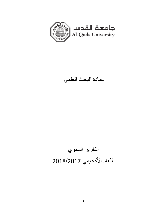

عمادة البحث العلمي

# التقرير السنوي للعام الأكاديمي 2018/2017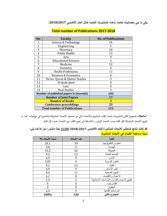**وفي ما يلي إحصائيات خاصه بأعداد المنشورات العلميه خالل العام األكاديمي :2018/2017**

| No. | <b>Faculty</b>                                  | <b>No. of Publications</b> |  |
|-----|-------------------------------------------------|----------------------------|--|
| 1   | Science & Technology                            | 34                         |  |
| 2   | Engineering                                     | 5                          |  |
| 3   | Pharmacy                                        | 20                         |  |
| 4   | <b>Public Health</b>                            | 12                         |  |
| 5   | Arts                                            | 9                          |  |
| 6   | <b>Educational Sciences</b>                     | 4                          |  |
| 7   | Medicine                                        | 12                         |  |
| 8   | Dentistry                                       | 9                          |  |
| 9   | <b>Health Professions</b>                       | 11                         |  |
| 10  | <b>Business &amp; Economics</b>                 | 8                          |  |
| 11  | Da'wa - Quran & Islamic Studies                 | 3                          |  |
| 12  | Al-Quds Bard                                    | $\Omega$                   |  |
| 13  | Law                                             | $\theta$                   |  |
| 14  | <b>Dual Studies</b>                             | 3                          |  |
|     | <b>Number of published papers in (Journals)</b> | 105                        |  |
|     | <b>Number of Joint Papers</b>                   | 17                         |  |
|     | <b>Number of Books</b>                          | 3                          |  |
|     | <b>Conference proceddings</b>                   | 25                         |  |
|     | <b>Total number of Publications</b>             | 133                        |  |

#### **Total number of Publications 2017-2018**

**\*مالحظة:** المجموع الكلي للمنشورات يشمل الكتب المنشورة واألبحاث التي من ضمنها األبحاث المشتركة والمنشورة في مؤتمرات. كما تم توزيع األبحاث المشتركة لكل كلية حسب الباحث الرئيس، باالضافة الى جمع الكتب مع األبحاث حسب كل كلية.

**لقد كانت نتائج الباحثين لألبحاث المنشورة للعام األكاديمي 2018-2017 )130( بحثا منشورا موزعاً كما يلي: نسبة مساهمة الكليات في األبحاث المنشور ة:**

| نسبة الأبحاث %   | عدد الأبحاث      | الكلية                                   |
|------------------|------------------|------------------------------------------|
| 26.1             | 34               | العلوم والتكنولوجيا                      |
| 3.8              | 5                | الهندسة                                  |
| 15.3             | 20               | الصيدلة                                  |
| 9.2              | 12               | الصحة العامة                             |
| 6.9              | 9                | الأداب                                   |
| 3.07             | 4                | العلوم التربوية                          |
| 9.2              | 12               | الطب                                     |
| 6.9              | 9                | طب الأسنان                               |
| 8.4              | 11               | المهن الصحية                             |
| 6.1              | 8                | الأعمال والاقتصاد                        |
| 2.3              | 3                | كليتي الدعوة والقران والدراسات الاسلامية |
| $\boldsymbol{0}$ | $\boldsymbol{0}$ | القدس-بار د                              |
| $\boldsymbol{0}$ | $\boldsymbol{0}$ | الحقوق                                   |
| 2.3              | 3                | الدر اسات الثنائية                       |
| 100%             | 130              | المجموع الكلى                            |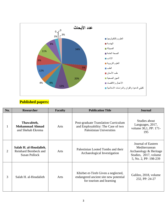

#### **Published papers:**

| No. | <b>Researcher</b>                                                       | <b>Faculty</b> | <b>Publication Title</b>                                                                                      | <b>Journal</b>                                                                                                  |
|-----|-------------------------------------------------------------------------|----------------|---------------------------------------------------------------------------------------------------------------|-----------------------------------------------------------------------------------------------------------------|
| 1   | Thawabteh,<br><b>Mohammad Ahmad</b><br>and Shehab Ekrema                | Arts           | Post-graduate Translation Curriculum<br>and Employability: The Case of two<br><b>Palestinian Universities</b> | Studies about<br>Languages, 2017,<br>volume 30,1, PP: 171-<br>195                                               |
| 2   | Salah H. al-Houdalieh,<br>Reinhard Bernbeck and<br><b>Susan Pollock</b> | Arts           | Palestinian Looted Tombs and their<br>Archaeological Investigation                                            | Journal of Eastern<br>Mediterranean<br>Archaeology & Heritage<br>Studies, 2017, volume<br>5, No. 2, PP: 198-239 |
| 3   | Salah H. al-Houdalieh                                                   | Arts           | Khirbet et-Tireh Given a neglected,<br>endangered ancient site new potential<br>for tourism and learning      | Galileo, 2018, volume<br>232, PP: 24-27                                                                         |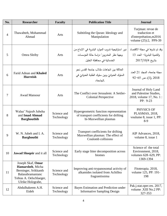| No.            | <b>Researcher</b>                                                                                                                 | <b>Faculty</b>            | <b>Publication Title</b>                                                                                                        | <b>Journal</b>                                                                         |
|----------------|-----------------------------------------------------------------------------------------------------------------------------------|---------------------------|---------------------------------------------------------------------------------------------------------------------------------|----------------------------------------------------------------------------------------|
| $\overline{4}$ | Thawabteh, Mohammad<br>Ahmad                                                                                                      | Arts                      | Subtitling the Quran: Ideology and<br>Manipulation                                                                              | Turjman: revue de<br>traduction et<br>d'interprétation, m2016<br>volume (25):2, PP9-39 |
| 5              | Omra Sleiby                                                                                                                       | Arts                      | دور  استراتيجية تدريب  الموارد  البشرية في  الابداع من<br>وجهة نظر المتدربين" دراسة حالة المؤسسات<br>الخدماتية في محافظة الخليل | وقد تم نشرها في مجلة الاقتصاد<br>والنتمية البشربة– العدد 13<br>بتاريخ 2017/10/4        |
| 6              | Farid Adnan and Khaled<br><b>Hurreish</b>                                                                                         | Arts                      | العلاقة بين اتجاهات طلاب جامعة القدس نحو<br>السلوك العدوانيّ وبين سلوك الطلبة العدوانيّ في<br>الحامعة،                          | مجلة جامعة، المجلد 21 العدد<br>$92-65$ من $(1), 2018$                                  |
| 7              | <b>Awad Mansour</b>                                                                                                               | Arts                      | The Conflict over Jerusalem: A Settler-<br><b>Colonial Perspective</b>                                                          | Journal of Holy Land<br>and Palestine Studies,<br>2018, volume 17, No. 1:<br>PP: 9-23  |
| 8              | Walaa' Najeeb Jubeha<br>and Imad Ahmad<br><b>Barghouthib</b>                                                                      | Science and<br>Technology | Hypergeometric function representation<br>of transport coefficients for drifting<br>bi-Maxwellian plasmas                       | PHYSICS OF<br>PLASMAS, 2018,<br>voulume 8, issue 1, PP:<br>$8-9$                       |
| 9              | W. N. Jubeh and I. A.<br><b>Barghouthi</b>                                                                                        | Science and<br>Technology | Transport coefficients for drifting<br>Maxwellian plasmas: The effect of<br>Coulomb collisions                                  | AIP Advances, 2018,<br>volume 8, issue 1                                               |
| 10             | <b>Jawad Shoqeir</b> and it all                                                                                                   | Science and<br>Technology | Early stage litter decomposition across<br>biomes                                                                               | Science of the total<br>Environment, 2018,<br>volumes 628-629, PP:<br>1369-1394        |
| 11             | Joseph Skaf, Omar<br>Hamarsheh, Micha<br>Berninger, Srikkanth<br>Balasubramanianc<br>Tobias A. Oelschlaeger,<br>Ulrike Holzgrabe, | Science and<br>Technology | Improving anti-trypanosomal activity of<br>alkamides isolated from Achillea<br>fragrantissima                                   | Fitoterapia. 2018,<br>volume 125, PP: 191-<br>198                                      |
| 12             | Abdulhakeem A.H.<br>Eideh                                                                                                         | Science and<br>Technology | Bayes Estimation and Prediction under<br><b>Informative Sampling Design</b>                                                     | Pak.j.stat.oper.res. 2017,<br>volume .XIII No.2 PP:<br>327-353                         |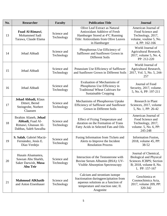| No. | <b>Researcher</b>                                                                         | <b>Faculty</b>            | <b>Publication Title</b>                                                                                                                                          | <b>Journal</b>                                                                                                                |
|-----|-------------------------------------------------------------------------------------------|---------------------------|-------------------------------------------------------------------------------------------------------------------------------------------------------------------|-------------------------------------------------------------------------------------------------------------------------------|
| 13  | <b>Fuad Al-Rimawi,</b><br>Mohammed Sadi<br>Tarawa, Claude Elama                           | Science and<br>Technology | Olive Leaf Extract as Natural<br>Antioxidant Additive of Fresh<br>Hamburger Stored at 4°C Running<br>Title: Antioxidants from Olive Leaves<br>in Hamburger        | American Journal of<br>Food Science and<br>Technology, 2017,<br>volume, voulme 5, No.<br>4, PP: 162-166                       |
| 14  | Jehad Abbadi                                                                              | Science and<br>Technology | Phosphorous Use Efficiency of<br>Safflower and Sunflower Grown in<br>Different Soils                                                                              | World Journal of<br>Agricultural Research,<br>2017, volume 5, No. 4,<br>PP: 212-220                                           |
| 15  | Jehad Abbadi                                                                              | Science and<br>Technology | Potassium Use Efficiency of Safflower<br>and Sunflower Grown in Different Soils                                                                                   | World Journal of<br>Agricultural Research,<br>2017, Vol. 5, No. 5, 244-<br>257                                                |
| 16  | Jehad Abbadi                                                                              | Science and<br>Technology | <b>Evaluation of Mechanisms of</b><br>Phosphorus Use Efficiency in<br><b>Traditional Wheat Cultivars for</b><br><b>Sustainable Cropping</b>                       | Journal of Food<br>Security, 2017, volume.<br>5, No. 6, PP: 197-211                                                           |
| 17  | <b>Jehad Abbadi</b> , Klaus<br>Dittert, Bernd<br>Steingrobe, Norbert<br>Claassen          | Science and<br>Technology | Mechanisms of Phosphorous Uptake<br>Efficiency of Safflower and Sunflower<br>Grown in Different Soils                                                             | Research in Plant<br>Sciences, 2017, volume<br>5, No. 1, PP: 26-42                                                            |
| 18  | Ibrahim Afaneh, Jehad<br>Abbadi, Fuad Al-<br>Rimawi, Ghassan Al-<br>Dabbas, Saleh Sawalha | Science and<br>Technology | <b>Effect of Frying Temperature and</b><br>duration on the Formation of Trans<br>Fatty Acids in Selected Fats and Oils                                            | American Journal of<br>Food Science and<br>Technology, 2017,<br>volume. 5, No. 6, PP:<br>245-248                              |
| 19  | S. Salah, Gabriel Maciá-<br>Fernández, Jesús E<br>Díaz-Verdejo                            | Science and<br>Technology | Fusing Information from Tickets and<br>Alerts to Improve the Incident<br><b>Resolution Process</b>                                                                | <b>Information Fusion,</b><br>2018, volume 45, PP:<br>38-52                                                                   |
| 20  | Husain Alsamamra,<br>Sawsan Abu Sharkh,<br>Saker Darwish, Musa<br><b>Abu Teir</b>         | Science and<br>Technology | Interaction of the Testosterone with<br>Bovine Serum Albumin (BSA): UV-<br><b>Visible Absorption Spectroscopy</b>                                                 | Journal of Chemical,<br><b>Biological and Physical</b><br>Sciences JCBPS; Section<br>B; 2018, volume 8, No.<br>1, PP: 157-167 |
| 21  | <b>Mahmoud AlKhatib</b><br>and Anton Eisenhauer                                           | Science and<br>Technology | Calcium and strontium isotope<br>fractionation during precipitation from<br>aqueous solutions as a function of<br>temperature and reaction rate; II.<br>Aragonite | Geochimica et<br>Cosmochimica Acta,<br>2017, volume 209, PP:<br>320-342                                                       |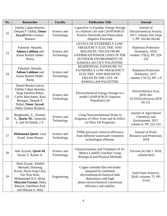| No. | <b>Researcher</b>                                                                                                                                                                     | <b>Faculty</b>            | <b>Publication Title</b>                                                                                                                                                          | <b>Journal</b>                                                                          |
|-----|---------------------------------------------------------------------------------------------------------------------------------------------------------------------------------------|---------------------------|-----------------------------------------------------------------------------------------------------------------------------------------------------------------------------------|-----------------------------------------------------------------------------------------|
| 22  | Zahilia Caban-Huertas,<br>Deepak P. Dubal, Omar<br>Ayyad, Pedro Gomez-<br>Romero                                                                                                      | Science and<br>Technology | Capacitive vs Faradaic Energy Storage<br>in a Hybrid Cell with LiFePO4/RGO<br>Positive Electrode and Nanocarbon<br><b>Negative Electrode</b>                                      | Journal of<br>Electrochemical Society,<br>2017, volume 164, Issue<br>1, PP: A6140-A6146 |
| 23  | Falastine Abuasbi,<br><b>Adnan Lahham and</b><br>Issam Rashid Abdel-<br>Raziq                                                                                                         | Science and<br>Technology | LEVELS OF EXTREMELY LOW-<br>FREQUENCY ELECTRIC AND<br>MAGNETIC FIELDS FROM<br><b>OVERHEAD POWER LINES IN THE</b><br><b>OUTDOOR ENVIRONMENT OF</b><br>RAMALLAH CITY-PALESTINE      | <b>Radiation Protection</b><br>Dosimetry, 2018,<br>voulme 179(3), PP: 229-<br>232       |
| 24  | Falastine Abuasbi,<br><b>Adnan Lahham and</b><br><b>Issam Rashid Abdel-</b><br>Raziq                                                                                                  | Science and<br>Technology | RESIDENTIAL EXPOSURE TO<br><b>EXTREMELY LOW FREQUENCY</b><br><b>ELECTRIC AND MAGNETIC</b><br>FIELDS IN THE CITY OF<br>RAMALLAH-PALESTINE                                          | <b>Radiation Protection</b><br>Dosimetry, 2017,<br>volume 179 (3), PP: 1-9              |
| 25  | Daniel Rueda-Garcia,<br>Zahilia Caban-Huertas,<br>Sergi Sanchez-Ribot,<br>Carlos Marchante, Raul<br>Benages, Deepak P.<br>Dubal, Omar Ayyad,<br>Pedro Gómez-Romero                    | Science and<br>Technology | Electrochemical Energy Storage in a<br>model LiFePO4 RGO Aqueous<br>Nanofluid Cell                                                                                                | Electrochimica Acta,<br>2018, doi:<br>10.1016/j.electacta.2018.<br>05.151               |
| 26  | Barghouthi, Z., Alimari,<br>A., Qurie, M., Amereih,<br>S. and Al-Dadah, J.Y.                                                                                                          | Science and<br>Technology | Using Nonconventional Water in<br>Irrigation of Olive Trees and Its Effect<br>on Olive Oil Properties                                                                             | Journal of Agricultural<br>Chemistry and<br>Environment, 2017,<br>volume 6, PP: 222-231 |
| 27  | Mohannad Qurie, Loay<br>Awad, Amer Kanan                                                                                                                                              | Science and<br>Technology | THMs precursor removal efficiency<br>from different wastewater treatment<br>technologies effluents                                                                                | Journal of Water<br>Resource and Protection,<br>2018                                    |
| 28  | Abu Ayyash, Qurie M,<br>Sayara T, Kanan A,                                                                                                                                            | Science and<br>Technology | Characterization and Treatment of Al-<br>Menya Landfill Leachate Using<br><b>Biological and Physical Methods</b>                                                                  | Environ Sci Ind J. 2018,<br>volume $14(2)$                                              |
| 29  | Ahed Zyoud, Khaled<br>Murtada, Hansang<br>Kwon, Hyun-Jong Choi,<br>Tae Woo Kim.<br>Mohammed H.S. Helal,<br>Maryam Faroun, Heba<br><b>Bsharat, DaeHoon Park</b><br>and Hikmat S. Hilal | Engineering               | Copper selenide film electrodes<br>prepared by combined<br>electrochemical/chemical bath<br>depositions with high<br>photo-electrochemical conversion<br>efficiency and stability | Solid State Sciences,<br>2018, volumee 75, PP:<br>$53 - 62$                             |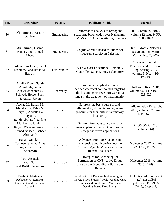| No. | <b>Researcher</b>                                                                                          | <b>Faculty</b> | <b>Publication Title</b>                                                                                                                                 | <b>Journal</b>                                                                                                   |
|-----|------------------------------------------------------------------------------------------------------------|----------------|----------------------------------------------------------------------------------------------------------------------------------------------------------|------------------------------------------------------------------------------------------------------------------|
| 30  | Ali Jamoos, Yasmin<br>Qabbani                                                                              | Engineering    | Performance analysis of orthogonal<br>spacetime block codes over Nakagami-<br>q MIMO RFID backscattering channels                                        | IET Commun., 2018,<br>volume 12 issue 9, PP:<br>1086-1093                                                        |
| 31  | Ali Jamoos, Osama<br>Najajri, and Ahmed<br>Abdou                                                           | Engineering    | Cognitive radio-based solutions for<br>spectrum scarcity in Palestine                                                                                    | Int. J. Mobile Network<br>Design and Innovation,<br>Vol. X, No. Y, 200x                                          |
| 32  | <b>Salaheddin Odeh, Tarek</b><br>Rishmawi and Rafat Al-<br>Hawash                                          | Dual studies   | A Low-Cost Educational Remotely<br><b>Controlled Solar Energy Laboratory</b>                                                                             | American Journal of<br><b>Electrical and Electronic</b><br>Engineering, 2017,<br>volume 5, No. 4, PP:<br>126-135 |
| 33  | Annika Frank, Saleh<br>Abu-Lafi, Azmi<br>Adawi, Johannes S.<br>Schwed, Holger Stark<br>& Anwar Rayan       | Pharmacy       | From medicinal plant extracts to<br>defined chemical compounds targeting<br>the histamine H4 receptor: Curcuma<br>longa in the treatment of inflammation | Inflamm. Res., 2018,<br>volume 66, Issue 10, PP:<br>923-929                                                      |
| 34  | Aswad M, Rayan M,<br>Abu-Lafi S, Falah M,<br>Raiyn J, Abdallah Z,<br>Rayan A                               | Pharmacy       | Nature is the best source of anti-<br>inflammatory drugs: indexing natural<br>products for their anti-inflammatory<br>bioactivity                        | <b>Inflammation Research,</b><br>2018, volume 67, Issue<br>1, PP: $67-75$                                        |
| 35  | Saleh Abu-Lafi, Sadam<br>Makhamra, Ibrahim<br>Rayan, Waseim Barriah,<br>Ahmed Nasser, Basheer<br>Abu Farkh | Pharmacy       | Sesamin from Cuscuta palaestina<br>natural plant extracts: Directions for<br>new prospective applications                                                | PLOS ONE, 2018,<br>volume $3(4)$                                                                                 |
| 36  | Hanadi Sinokrot,<br><b>Tasneem Smerat, Anas</b><br>Najjar and <b>Rafik</b><br><b>Karaman</b>               | Pharmacy       | <b>Advanced Prodrug Strategies in</b><br>Nucleoside and Non-Nucleoside<br>Antiviral Agents: A Review of the<br><b>Recent Five Years</b>                  | Molecules 2017, volume<br>22, 1736, PP: 2-18                                                                     |
| 37  | Isra' Zeiadeh<br>, Anas Najjar<br>and Rafik Karaman                                                        | Pharmacy       | Strategies for Enhancing the<br>Permeation of CNS-Active Drugs<br>through the Blood-Brain Barrier: A<br>Review                                           | Molecules 2018, volume<br>23(6), 1289                                                                            |
| 38  | Deeb O., Martínez-<br>Pachecho H., Ramírez-<br>Galicia G. and Garduño-<br>Juárez R.                        | Pharmacy       | Application of Docking Methodologies in<br>QSAR Based Studies" book "Applied Case<br>Studies and Solutions in Molecular<br>Docking-Based Drug Design     | Prof. Siavoush Dastmalchi<br>(Ed). IGI Golbal<br>publishers. PP: 29-55<br>(2016), Chapter 2,                     |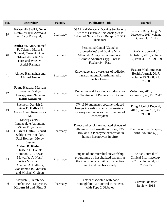| No. | <b>Researcher</b>                                                                                                                                                             | <b>Faculty</b> | <b>Publication Title</b>                                                                                                                                | <b>Journal</b>                                                                    |
|-----|-------------------------------------------------------------------------------------------------------------------------------------------------------------------------------|----------------|---------------------------------------------------------------------------------------------------------------------------------------------------------|-----------------------------------------------------------------------------------|
| 39  | Basheerulla Shaik1, Omar<br>Deeb2, Vijay K Agrawal3<br>and Satya P. Gupta1,*                                                                                                  | Pharmacy       | QSAR and Molecular Docking Studies on a<br>Series of Cinnamic Acid Analogues as<br>Epidermal Growth Factor Receptor (EGFR)<br><b>Inhibitors</b>         | Letters in Drug Design &<br>Discovery, 2017, volume<br>14, issue 1, PP: -13       |
| 40  | Amira M. Amr, Hamed<br>R. Takruri, Maha S.<br>Shomaf, Omar A. Alhaj,<br>"Mo'ez Al-Islam" E.<br>Faris and Wael M.<br>Abdel-Rahman                                              | Pharmacy       | <b>Fermented Camel (Camelus</b><br>dromedarius) and Bovine Milk<br>Attenuate Azoxymethane-induced<br>Colonic Aberrant Crypt Foci in<br>Fischer 344 Rats | Pakistan Journal of<br>Nutrition, 2018, volume<br>17, issue 4, PP: 179-189        |
| 41  | Ahmed Hamarsheh and<br><b>Ahmad Amro</b>                                                                                                                                      | Pharmacy       | Knowledge and awareness of radiation<br>hazards among Palestinian radio<br>technologists                                                                | Eastern Mediterranean<br>Health Journal, 2017,<br>volume 23 No. 8, PP:<br>576-580 |
| 42  | Fatma Haddad, Maryam<br>Sawalha, Yahya<br>Khawaja, AnasNajjarand<br><b>Rafik Karaman</b>                                                                                      | Pharmacy       | Dopamine and Levodopa Prodrugs for<br>the Treatment of Parkinson's Disease                                                                              | Molecules, 2018,<br>volume 23, 40, PP: 2 -17                                      |
| 43  | Shemesh-Darvish L,<br>Shinar D, Hallak H,<br><b>Gross A and Rosenstock</b><br>M.                                                                                              | Pharmacy       | TV-1380 attenuates cocaine-induced<br>changes in cardiodynamic parameters in<br>monkeys and reduces the formation of<br>cocaethylene                    | Drug Alcohol Depend,<br>2018, volume 188, PP:<br>295-303                          |
| 44  | Maciej Czerwi,<br>Immaculate Amunom,<br>Victor Piryatinsky,<br>Hussein Hallak, Yousif<br>Sahly, Oren Bar-Ilan,<br>Paul Bolliger, Merav<br>Bassan                              | Pharmacy       | Direct and cytokine-mediated effects of<br>albumin-fused growth hormone, TV-<br>1106, on CYP enzyme expression in<br>human hepatocytes in vitro         | Pharmacol Res Perspect,<br>2018, volume 6(3)                                      |
| 45  | Maher R. Khdour,<br>Hussein O. Hallak,<br>Mamoon A. Aldeyab,<br>Mowaffaq A. Nasif,<br>Aliaa M. Khalili,<br>Ahamad A. Dallashi,<br>Mohammad B. Khofash<br>and Michael G. Scott | Pharmacy       | Impact of antimicrobial stewardship<br>programme on hospitalized patients at<br>the intensive care unit: a prospective<br>audit and feedback study      | British Journal of<br>Clinical Pharmacology,<br>2018, volume 84, PP:<br>708-715   |
| 46  | Alqudah S, Jarab AS,<br>Alefishat EA, Mayyas F,<br><b>Khdour M</b> and Pinto S                                                                                                | Pharmacy       | Factors associated with poor<br>Hemoglobin A1c control in Patients<br>with Type 2 Diabetes                                                              | <b>Current Diabetes</b><br>Review, 2018                                           |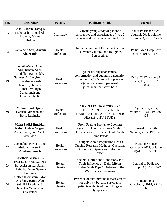| No. | <b>Researcher</b>                                                                                                                                                                   | <b>Faculty</b>        | <b>Publication Title</b>                                                                                                                                                 | <b>Journal</b>                                                            |
|-----|-------------------------------------------------------------------------------------------------------------------------------------------------------------------------------------|-----------------------|--------------------------------------------------------------------------------------------------------------------------------------------------------------------------|---------------------------------------------------------------------------|
| 47  | Anan S. Jarab, Tareq L.<br>Mukattash, Ahmad Al-<br>Azayzih, Maher<br><b>Khdour</b>                                                                                                  | Pharmacy              | A focus group study of patient's<br>perspective and experiences of type 2<br>diabetes and its management in Jordan                                                       | Saudi Pharmaceutical<br>Journal, 2018, volume<br>26, issue 3, PP: 301-305 |
| 48  | Rania Abu Seir, Akram<br><b>Kharroubi</b>                                                                                                                                           | Health<br>profesions  | Implementation of Palliative Care in<br>Palestine: Cultural and Religious<br>Perspectives                                                                                | Palliat Med Hosp Care<br>Open J, 2017, PP: 4-9                            |
| 49  | Ismail Warad, Oraib<br>Ali1, Riham Ahed,<br>Abdallah Bani Odeh,<br>Sameer A. Barghouthi,<br>Shivalingegowda<br>Naveen, Hicham<br>Elmsellem, Iqab<br>Daraghmeh and<br>Lokanath N. K. | Health<br>profesions  | Synthesis, physicochemical,<br>conformation and quantum calculation<br>of novel N-(1-(4-bromothiophen-2-<br>yl)ethylidene)-2-(piperazin-1-<br>yl) ethanamine Schiff base | JMES, 2017, volume 8,<br>Issue, 11, PP: 3844-<br>3854                     |
| 50  | Mohammad Hjouj,<br>Hanush Krishnan and<br><b>Boris Rubinsky</b>                                                                                                                     | Health<br>profesions  | <b>CRYOELECTROLYSIS FOR</b><br><b>TREATMENT OF ATRIAL</b><br>FIBRILLATION: A FIRST ORDER<br><b>FEASIBILITY STUDY</b>                                                     | CryoLetters, 2017,<br>volume 38 (6), PP: 428-<br>433                      |
| 51  | <b>Maha Sudki Hmeidan</b><br>Nahal, Helena Wigert,<br>Asma Imam, and Asa B.<br>Axelsson                                                                                             | Health<br>profesions  | From Feeling Broken to Looking<br>Beyond Broken: Palestinian Mothers'<br>Experiences of Having a Child With<br>Spina Bifida                                              | Journal of Family<br>Nursing, 2017. PP: 1-26                              |
| 52  | Jacqueline Fawcett, and<br>AbdulMuhsen M.<br><b>AbuFannouneh</b>                                                                                                                    | Health<br>profesions  | Thoughts About Population Health<br><b>Nursing Research Methods: Questions</b><br>About Participants and Informed<br>Consent                                             | <b>Nursing Science</b><br>Quarterly 2017, volume<br>30(4), PP: 353-355    |
| 53  | Kawther Elissa a,b,*,<br>Ewa-Lena Bratt a,c, Asa<br>B. Axelsson a,d, Salam<br>Khatib b, Carina Sparud-<br>Lundin a                                                                  | Helath<br>professions | Societal Norms and Conditions and<br>Their Influence on Daily Life in<br>Children With Type 1 Diabetes in the<br><b>West Bank in Palestine</b>                           | Journal of Pediatric<br>Nursing 33 (2017) 16–22                           |
| 54  | Geffen Kleinstern, Mor<br>Averbuc, Rania Abu<br>Sei, Riki Perlman3<br>Dina Ben Yehuda and<br>Ora Paltiel                                                                            | Helath<br>professions | Presence of autoimmune disease affects<br>not only risk but also survival in<br>patients with B-cell non-Hodgkin<br>lymphoma                                             | Hematological<br>Oncology, 2018, PP: 1-<br>6                              |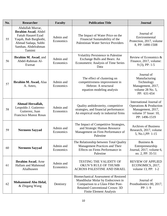| No. | <b>Researcher</b>                                                                                                                               | <b>Faculty</b>         | <b>Publication Title</b>                                                                                                                                                                         | <b>Journal</b>                                                                                                    |
|-----|-------------------------------------------------------------------------------------------------------------------------------------------------|------------------------|--------------------------------------------------------------------------------------------------------------------------------------------------------------------------------------------------|-------------------------------------------------------------------------------------------------------------------|
| 55  | Abdullah Murrar,<br>Ibrahim Awad, Abdel<br>Fattah Hasan4 Eyad<br>Yaqob, Ihab Barghothi,<br>Ahmad Sadaqa, Subhi<br>Samhan, Abdelrahman<br>Tamimi | Admin and<br>Economics | The Impact of Water Price on the<br>Financial Sustainability of the<br><b>Palestinian Water Service Providers</b>                                                                                | Journal of<br>Environmental<br>Protection, 2017, volume<br>8, PP: 1490-1508                                       |
| 56  | <b>Ibrahim M. Awad</b> , and<br>Abdel-Rahman Al-<br>Ewesat                                                                                      | Admin and<br>Economics | <b>Volatility Persistence in Palestine</b><br>Exchange Bulls and Bears: An<br>Econometric Analysis of Time Series<br>Data                                                                        | Review of Economics &<br>Finance, 2017, volume:<br>$9(3)$ , PP: 1-5                                               |
| 57  | Ibrahim M. Awad, Alaa<br>A. Amro,                                                                                                               | Admin and<br>Economics | The effect of clustering on<br>competitiveness improvement in<br>Hebron: A structural<br>equation modeling analysis                                                                              | Journal of<br>Manufacturing<br>Technology<br>Management, 2017,<br>volume 28 No. 5,<br>PP: 631-654                 |
| 58  | Ahmad Herzallah,<br>Leopoldo J. Gutierrez-<br>Gutierrez, Juan<br><b>Francisco Munoz Rosas</b>                                                   | Admin and<br>Economics | Quality ambidexterity, competitive<br>strategies, and financial performance:<br>An empirical study in industrial firms                                                                           | International Journal of<br>Operations & Production<br>Management, 2017,<br>volume 37 Issue: 10,<br>PP: 1496-1519 |
| 59  | <b>Nermeen Sayyad</b>                                                                                                                           | Admin and<br>Economics | The Impact of Competitive Strategies,<br>and Strategic Human Resource<br>Management on Firm Performance of<br>Palestine                                                                          | <b>Archives of Business</b><br>Research, 2017, volume<br>5, No.1, PP: 1-15                                        |
| 60  | <b>Nermeen Sayyad</b>                                                                                                                           | Admin and<br>Economics | The Relationship between Total Quality<br>Management Practices and Their<br>Effects on Firms Performance in<br>Palestine                                                                         | Business &<br>Entrepreneurship<br>Journal, 2017, volume 6,<br>no. 2, PP: 35-51                                    |
| 61  | <b>Ibrahim Awad</b> , Arne<br>Hallam and Mahmoud<br>Alialhuseen                                                                                 | Admin and<br>Economics | <b>TESTING THE VALIDITY OF</b><br>OKUN'S RULE OF THUMB<br>ACROSS PALESTINE AND ISRAEL                                                                                                            | <b>REVIEW OF APPLIED</b><br>ECONOMICS, 2017,<br>volume 13, PP: 1-2                                                |
| 62  | <b>Mohammed Abu Helal,</b><br>& Zhigang Wang                                                                                                    | Dentistry              | <b>Biomechanical Assessment of Restored</b><br>Mandibular Molar by Endocrown in<br>Comparison to a Glass Fiber Post-<br><b>Retained Conventional Crown: 3D</b><br><b>Finite Element Analysis</b> | Journal of<br>Prosthodontics 00, 2017,<br>$PP: 1-9$                                                               |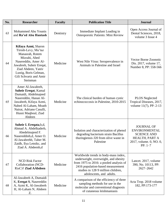| No. | <b>Researcher</b>                                                                                                                                                                                                       | <b>Faculty</b> | <b>Publication Title</b>                                                                                                                                                                                                       | <b>Journal</b>                                                                                                            |
|-----|-------------------------------------------------------------------------------------------------------------------------------------------------------------------------------------------------------------------------|----------------|--------------------------------------------------------------------------------------------------------------------------------------------------------------------------------------------------------------------------------|---------------------------------------------------------------------------------------------------------------------------|
| 63  | Mohammed Abu Younis<br>and Ra'ed Abu Hantash                                                                                                                                                                            | Dentistry      | Immediate Implant Loading in<br>Osteoporotic Patients: Mini Review                                                                                                                                                             | Open Access Journal of<br>Dental Sciences, 2018,<br>volume 3 Issue 4                                                      |
| 64  | Kifaya Azmi, Sharon<br>Tirosh-Levy, Mu'taz<br>Manasrah, Rotem<br>Mizrahi, Abed<br>Nasereddin, Amer Al-<br>Jawabreh, Suheir Ereqat,<br>Ziad Abdeen, Yaniv<br>Lustig, Boris Gelman,<br>Gili Schvartz and Amir<br>Steinman | Medicine       | West Nile Virus: Seroprevalence in<br>Animals in Palestine and Israel                                                                                                                                                          | <b>Vector Borne Zoonotic</b><br>Dis. 2017, volume 17,<br>Number 8, PP: 558-566                                            |
| 65  | Amer Al-Jawabreh,<br><b>Suheir Ereqat, Kamal</b><br>Dumaidi, Abdelmajeed<br>Nasereddin, Hanan Al-<br>Jawabreh, Kifaya Azmi,<br>Nahed Al-Laham, Moath<br>Nairat, Adriano Casulli,<br>Husni Maqboul, Ziad<br>Abdeen       | Medicine       | The clinical burden of human cystic<br>echinococcosis in Palestine, 2010-2015                                                                                                                                                  | <b>PLOS</b> Neglected<br>Tropical Diseases, 2017,<br>volume 11(7), PP: 2-13                                               |
| 66  | Suheir I. Ereqata, b, d,<br>Ahmad A. Abdelkaderb,<br>Abedelmajeed F.<br>Nasereddinb, d, Amer O.<br>Al-Jawabrehb, Taher M.<br>Zaidb, Ilya Letnikc, and<br>Ziad A. Abdeenb,d                                              | Medicine       | Isolation and characterization of phenol<br>degrading bacterium strain Bacillus<br>thuringiensis J20 from olive waste in<br>Palestine                                                                                          | <b>JOURNAL OF</b><br><b>ENVIRONMENTAL</b><br><b>SCIENCE AND</b><br>HEALTH, PART A<br>2017, volume. 0, NO. 0,<br>$PP: 1-7$ |
| 67  | <b>NCD Risk Factor</b><br>Collaboration (NCD-<br>RisC)† Ziad AAbdeen                                                                                                                                                    | Medicine       | Worldwide trends in body-mass index,<br>underweight, overweight, and obesity<br>from 1975 to 2016: a pooled analysis of<br>2416 population-based measurement<br>studies in 128.9 million children,<br>adolescents, and adults. | Lancet. 2017, volume<br>390, No. 10113, PP:<br>2627-2642                                                                  |
| 68  | Al-Jawabreh A, Dumaidi<br>K, Ereqat S, Nasereddin<br>A, Azmi K, Al-Jawabreh<br>H, Al-Laham N, Abdeen<br>Z.                                                                                                              | Medicine       | A comparison of the efficiency of three<br>sampling methods for use in the<br>molecular and conventional diagnosis<br>of cutaneous leishmaniasis                                                                               | Acta Trop. 2018 volume<br>182, PP:173-177                                                                                 |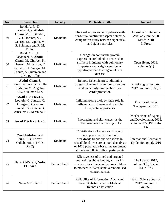| No. | <b>Researcher</b>                                                                                                                                                    | <b>Faculty</b> | <b>Publication Title</b>                                                                                                                                                                                                                 | <b>Journal</b>                                                                |
|-----|----------------------------------------------------------------------------------------------------------------------------------------------------------------------|----------------|------------------------------------------------------------------------------------------------------------------------------------------------------------------------------------------------------------------------------------------|-------------------------------------------------------------------------------|
| 69  | Bond, A. R., D.<br>Iacobazzi, S. Abdul-<br>Ghani, M. T. Ghorbel,<br>K. J. Heesom, S. J.<br>George, M. Caputo, M.<br>S. Suleiman and R. M.<br>Tulloh                  | Medicine       | The cardiac proteome in patients with<br>congenital ventricular septal defect: A<br>comparative study between right atria<br>and right ventricles                                                                                        | <b>Journal of Proteomics</b><br>Available online 20<br>March 2018<br>In Press |
| 70  | Bond, A. R., D.<br>Iacobazzi, S. Abdul-<br>Ghani, M. Ghorbel, K.<br>Heesom, M. Wilson, C.<br>Gillett, S. J. George, M.<br>Caputo, S. Suleiman and<br>R. M. R. Tulloh | Medicine       | Changes in contractile protein<br>expression are linked to ventricular<br>stiffness in infants with pulmonary<br>hypertension or right ventricular<br>hypertrophy due to congenital heart<br>disease                                     | Open Heart, 2018,<br>volume $5(1)$                                            |
| 71  | Abdul-Ghani S,<br>Fleishman AN, Khaliulin<br>I, Meloni M, Angelini<br>GD, Suleiman M-S                                                                               | Medicine       | Remote ischemic preconditioning<br>triggers changes in autonomic nervous<br>system activity: implications for<br>cardioprotection                                                                                                        | Physiological reports,<br>2017, volume 13;5 (3)                               |
| 72  | Awad F, Assrawi E,<br>Louvrier C, Jumeau C,<br>Giurgea I, Georgin-<br>Lavialle S, Grateau G,<br>Amselem S, Karabina S.                                               | Medicine       | Inflammasome biology, their role in<br>inflammatory disease and possible<br>therapeutic approaches                                                                                                                                       | Pharmacology &<br>Therapeutics; 2018                                          |
| 73  | Awad F & Karabina S.                                                                                                                                                 | Medicine       | Photoaging and skin cancer: is the<br>inflammasome the missing link?                                                                                                                                                                     | Mechanisms of Ageing<br>and Development, 2018,<br>volume 172, PP: 131-<br>137 |
| 74  | <b>Ziad AAbdeen and</b><br><b>NCD Risk Factor</b><br>Collaboration (NCD-<br>RisC                                                                                     | Medicine       | Contributions of mean and shape of<br>blood pressure distribution to<br>worldwide trends and variations in<br>raised blood pressure: a pooled analysis<br>of 1018 population-based measurement<br>studies with 88.6 million participants | International Journal of<br>Epidemiology, dyy016                              |
| 75  | Hana Al-Rabadi, Nuha<br><b>El Sharif</b>                                                                                                                             | Public Health  | Effectiveness of timed and targeted<br>counselling about feeding and caring<br>practices for infants and young children<br>to mothers in West Bank: a randomised<br>controlled trial                                                     | The Lancet. 2017,<br>volume 390, Special<br>Issue, S23                        |
| 76  | Nuha A El Sharif                                                                                                                                                     | Public Health  | Reliability of Information Abstracted<br>from Diabetic Patients' Medical<br><b>Recordsin Palestine</b>                                                                                                                                   | Health Science Journal,<br>$2017$ , volume $11$<br>No.5:526                   |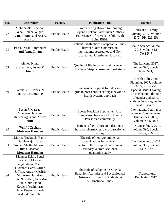| No. | <b>Researcher</b>                                                                                                                                                                                                                                              | <b>Faculty</b>       | <b>Publication Title</b>                                                                                                                               | <b>Journal</b>                                                                                                                                                                              |  |
|-----|----------------------------------------------------------------------------------------------------------------------------------------------------------------------------------------------------------------------------------------------------------------|----------------------|--------------------------------------------------------------------------------------------------------------------------------------------------------|---------------------------------------------------------------------------------------------------------------------------------------------------------------------------------------------|--|
| 77  | Maha Sudki Hmeidan<br>Naha, Helena Wigert,<br><b>Asma Imam</b> , and Asa B.<br>Axelsson                                                                                                                                                                        | Public Health        | From Feeling Broken to Looking<br>Beyond Broken: Palestinian Mothers'<br>Experiences of Having a Child With<br>Spina Bifida                            | Journal of Family<br>Nursing, 2017, volume<br>23(2), PP: 226-251                                                                                                                            |  |
| 78  | Eba'a Dasan Barghouthi<br>and Asma Imam                                                                                                                                                                                                                        | <b>Public Health</b> | <b>Patient Satisfaction: Comparative Study</b><br>between Joint Commission<br>International Accredited and Non-<br>accredited Palestinian Hospitals    | Health Science Journal,<br>2018, volume 12<br>No.1:547                                                                                                                                      |  |
| 79  | <b>Ahmed Nimer</b><br>Shamallakh, Asma M<br>Imam                                                                                                                                                                                                               | <b>Public Health</b> | Quality of life in patients with cancer in<br>the Gaza Strip: a cross-sectional study                                                                  | The Lancent, 2017,<br>volume 390, Special<br>Issue, S21,                                                                                                                                    |  |
| 80  | Samuels, F., Jones, N.<br>and Abu Hamad, B                                                                                                                                                                                                                     | <b>Public Health</b> | Psychosocial support for adolescent<br>girls in post-conflict settings: beyond a<br>health systems approach                                            | Health Policy and<br>Planning, 2017, volume<br>32, 5, PP: 40-51<br>Special issue: Leaving<br>no one behind: the role<br>of gender and ethics<br>analyses in strengthening<br>health systems |  |
| 81  | Susan J. Massad,<br>Motasem Hamdan,<br>Hazem Agha and Amira<br>Amr                                                                                                                                                                                             | Public Health        | <b>Sports Nutrition Supplement Use:</b><br>Comparison between a USA and a<br>Palestinian community                                                     | International Journal of<br>Science Commerce and<br>Humanities, 2017,<br>volume No 5 No 2                                                                                                   |  |
| 82  | Wafa' J Zaghari,<br><b>Motasem Hamdan</b>                                                                                                                                                                                                                      | Public Health        | Patient safety culture in Palestinian<br>hospital pharmacies: a cross-sectional<br>survey                                                              | The Lancet logo, 2017,<br>volume 390, Special<br>Issue, S16                                                                                                                                 |  |
| 83  | Marina Tucktuck, Ranin<br>Darkhawaja, Tareq<br>Areqat, Shatha Mansour,<br>Rita Giacaman,<br><b>Motasem Hamdan</b>                                                                                                                                              | Public Health        | The role of non-governmental<br>organizations in the health<br>sector in the occupied Palestinian<br>territory: a cross-sectional<br>qualitative study | The Lancet logo, 2017,<br>volume 390, Special<br>Issue, S29                                                                                                                                 |  |
| 84  | Mehmet Eskin, Senel<br>Poyrazli, Mohsen<br>Janghorbani, Mauro<br>Giovanni Carta, Ulrich<br>S. Tran, Anwar Mechri,<br><b>Motasem Hamdan,</b><br>Hani Nawafleh, Jian-Min<br>Sun, Chris Flood,<br>Kouichi Yoshimasu,<br>Omar Kujan, Khouala<br>Aidoudi, Seifollah | <b>Public Health</b> | The Role of Religion on Suicidal<br>Behavior, Attitudes and Psychological<br>Distress in University Students: A<br><b>Multinational Study</b>          | Transcultural<br>Psychiatry, 2017                                                                                                                                                           |  |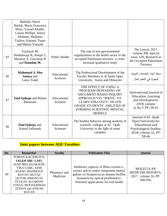|    | Bakhshi, Hacer<br>Harlak, Maria Francesca<br>Moro, Yousef Khader,<br>Louise Phillips, Amira<br>Shaheen, Shahama<br>Taifour, Kanami Tsuno<br>and Martin Voracek |                         |                                                                                                                                                                                                                          |                                                                                                                                  |
|----|----------------------------------------------------------------------------------------------------------------------------------------------------------------|-------------------------|--------------------------------------------------------------------------------------------------------------------------------------------------------------------------------------------------------------------------|----------------------------------------------------------------------------------------------------------------------------------|
| 85 | Tucktuck M,<br>Darkhawaja R, Areqat T,<br>Mansour S, Giacaman R<br>and Hamdan M.                                                                               | <b>Public Health</b>    | The role of non-governmental<br>organizations in the health sector in the<br>occupied Palestinian territory: a cross-<br>sectional qualitative study                                                                     | The Lancet, 2017,<br>volume 390, Special<br>issue, S29, Research in<br>the Occupied Palestinian<br>Territory                     |
| 86 | <b>Mahmoud A Abu</b><br>Samra and<br>Laina Totah                                                                                                               | Educational<br>Sciences | The Professional Development of the<br>Faculty Members at Al Quds Open<br>University: Status and Obstacles                                                                                                               | مجلة اتحاد الجامعات العربية<br>للبحوث في التعليم العال                                                                           |
| 87 | <b>Ziad Qabaja and Riham</b><br><b>Bannoura</b>                                                                                                                | Educational<br>Sciences | THE EFFECT OF USING A<br>PROGRAM DEPENDING ON<br>ARGUMENT BASED INQUIRY<br>APPROACH VIA "WRITE-TO-<br><b>LEARN STRATEGY" ON 8TH</b><br><b>GRADE STUDENTS' ABILITIES OF</b><br>FORMING SCIENTIFIC MENTAL<br><b>MODELS</b> | International Journal of<br><b>Education</b> , Learning<br>and Development,<br>2018, volume<br>.6, No.7, PP: 28-41               |
| 88 | <b>Ziad Qabaja and</b><br>Kamal Sallamah                                                                                                                       | Educational<br>Sciences | The healthy behavior among students of<br>scientific colleges at Al - Quds<br>University in the light of some<br>variables                                                                                               | Journal of Al - Quds<br>Open University for<br><b>Educational</b> and<br>Psychological Studies,<br>2018, volume 21, PP:<br>58-66 |

# **Joint papers between AQU Faculties:**

| No. | Researcher                                                                                                                                                                                                                          | <b>Faculty</b>           | <b>Publication Title</b>                                                                                                                                                                                     | Journal                                                                         |
|-----|-------------------------------------------------------------------------------------------------------------------------------------------------------------------------------------------------------------------------------------|--------------------------|--------------------------------------------------------------------------------------------------------------------------------------------------------------------------------------------------------------|---------------------------------------------------------------------------------|
| 89  | TOMAS KACERGIUS,<br><b>SALEH ABU-LAFI,</b><br>AGNE IRKLIAUSKIENE,<br>VIKA GABE, AZMI<br>ADAWI, MAHMOUD<br>RAYAN, MUTAZ<br><b>QUTOB, RIMANTAS</b><br>STUKAS, ALGIRDAS<br>UTKUS, MOUHAMMAD<br><b>ZEIDAN and ANWAR</b><br><b>RAYAN</b> | Pharmacy and<br>Medicine | Inhibitory capacity of Rhus coriaria L.<br>extract and its major component methyl<br>gallate on Streptococcus mutans biofilm<br>formation by optical profilometry:<br>Potential applications for oral health | <b>MOLECULAR</b><br><b>MEDICINE REPORTS,</b><br>2017, volume 16, PP:<br>949-956 |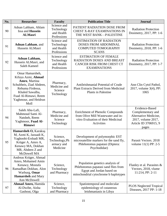| No. | <b>Researcher</b>                                                                                                                                                                  | <b>Faculty</b>                                         | <b>Publication Title</b>                                                                                                                      | Journal                                                                                                              |
|-----|------------------------------------------------------------------------------------------------------------------------------------------------------------------------------------|--------------------------------------------------------|-----------------------------------------------------------------------------------------------------------------------------------------------|----------------------------------------------------------------------------------------------------------------------|
| 90  | Adnan Lahham, Ahlam<br>Issa and Hussein<br><b>ALMasri</b>                                                                                                                          | Science and<br>Technology<br>and Health<br>Professions | PATIENT RADIATION DOSE FROM<br><b>CHEST X-RAY EXAMINATIONS IN</b><br>THE WEST BANK-PALESTINE                                                  | <b>Radiation Protection</b><br>Dosimetry, 2017, PP: 1-6                                                              |
| 91  | <b>Adnan Lahham</b> , and<br>Hussein ALMasri                                                                                                                                       | Science and<br>Technology<br>and Health<br>Professions | <b>ESTIMATION OF RADIATION</b><br>DOSES FROM ABDOMINAL<br><b>COMPUTED TOMOGRAPHY</b><br><b>SCANS</b>                                          | <b>Radiation Protection</b><br>Dosimetry, 2018, PP: 1-6                                                              |
| 92  | Adnan Lahham,<br>Hussein ALMasri, and<br>Saleh Kameel                                                                                                                              | Science and<br>Technology<br>and Health<br>Professions | <b>ESTIMATION OF FEMALE</b><br>RADIATION DOSES AND BREAST<br>CANCER RISK FROM CHEST CT<br><b>EXAMINATIONS</b>                                 | <b>Radiation Protection</b><br>Dosimetry, 2017, PP: 1-7                                                              |
| 93  | Omar Hamarsheh,<br>Kifaya Azmi, Ahmad<br>Amro, Martina<br>Schultheis, Ziad Abdeen,<br>Rebuma Firdessa,<br>Khaled Sawalha,<br>Fuad Al-Rimawi, Reem<br>Yaghmour, and Heidrun<br>Moll | Pharmacy,<br>Medicine and<br>Science<br>Technology     | Antileishmanial Potential of Crude<br><b>Plant Extracts Derived from Medicinal</b><br>Plants in Palestine                                     | Ann Clin Cytol Pathol,<br>2017, volume 3(4), PP:<br>1065                                                             |
| 94  | Saleh Abu-Lafi,<br>Mahmoud Sami Al-<br>Natsheh, Reem<br>Yaghmoor, Fuad Al-<br>Rimawi                                                                                               | Pharmacy,<br>Medicine and<br>Science<br>Technology     | <b>Enrichment of Phenolic Compounds</b><br>from Olive Mill Wastewater and in-<br>vitro Evaluation of their Medicinal<br>Activities            | Evidence-Based<br>Complementary and<br>Alternative Medicine,<br>2017, volume 2017,<br>Article ID 3706915, 9<br>pages |
| 95  | Hamarsheh O, Karakuş<br>M, Azmi K, Jaouadi K,<br>Yaghoobi-Ershadi MR,<br>Krüger A, Amro A,<br>Kenawy MA, Dokhan<br>MR, Abdeen Z and<br>McDowell MA                                 | Science,<br>Technology, Ph<br>armacy and<br>Medicine   | Development of polymorphic EST<br>microsatellite markers for the sand fly,<br>Phlebotomus papatasi (Diptera:<br>Psychodidae)                  | Parasit Vectors. 2018<br>volume $11(1)$ PP: 2-5                                                                      |
| 96  | Andreas Krüger, Ahmad<br>Amro, Mohamed Amin<br>Kenawy, Mostafa<br>Ramadhan Dokhan, Alon<br>Warburg, Omar<br><b>Hamarsheh</b> and Mary<br>Ann McDowell                              | Science,<br>Technology<br>and Pharmacy                 | Population genetics analysis of<br>Phlebotomus papatasi sand flies from<br>Egypt and Jordan based on<br>mitochondrial cytochrome b haplotypes | Flanley et al. Parasites $\&$<br>Vectors, 2018, vlume<br>11:214, PP: 2-11                                            |
| 97  | Ahmad Amro, Hamida<br>Al-Dwibe, Aisha<br>Gashout, Olga                                                                                                                             | Science,<br>Technology<br>and Pharmacy                 | Spatiotemporal and molecular<br>epidemiology of cutaneous<br>leishmaniasis in Libya                                                           | <b>PLOS</b> Neglected Tropical<br>Diseases, 2017 PP: 1-18                                                            |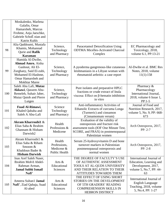|     | Moskalenko, Marlena<br>Galafin, Omar<br>Hamarsheh, Marcus<br>Frohme, Anja Jaeschke,<br>Gabriele SchoE nian and<br>Katrin Kuhls                                                                     |                                                       |                                                                                                                                                                      |                                                                                                            |
|-----|----------------------------------------------------------------------------------------------------------------------------------------------------------------------------------------------------|-------------------------------------------------------|----------------------------------------------------------------------------------------------------------------------------------------------------------------------|------------------------------------------------------------------------------------------------------------|
| 98  | Alia Qaddoumi, Mustafa<br>Khamis, Mohannad<br>Qurie and Rafik<br><b>Karaman</b>                                                                                                                    | Science,<br>Technology<br>and Pharmacy                | Paracetamol Detoxification Using<br><b>ODTMA Micelles-Activated Charcoal</b><br>Complex                                                                              | EC Pharmacology and<br>Toxicology, 2018,<br>volume 6.1, PP:13-21                                           |
| 99  | Hamida Al-Dwibe,<br>Ahmad Amro, Aisha<br>Gashout, Ali El-<br>Science,<br>Zurghany, Said El-zubi,<br>Technology<br>Mohamed El-Hashme,<br>and Pharmacy<br>Omar Hamarsheh and<br><b>Mokhtar Maree</b> |                                                       | A pyoderma gangrenous-like cutaneous<br>leishmaniasis in a Libyan woman with<br>rheumatoid arthritis: a case report                                                  | Al-Dwibe et al. BMC Res<br>Notes, 2018, volume<br>11(1):158                                                |
| 100 | Saleh Abu Lafi, Mutaz<br>Akkawi, Qassem Abu-<br>Remeleh, Suhair Jaber,<br>Mutaz Qutob and Pierre<br>Lutgen                                                                                         | Science,<br>Technology<br>and Pharmacy                | Pure isolates and preparative HPLC<br>fractions or crude extract of Inula<br>viscosa: Effect on $\beta$ -hematin inhibition<br>in vitro                              | Pharmacy &<br>Pharmacology<br>International Journal,<br>2018, volume 6 Issue 1,<br>$PP:1-5$                |
| 101 | Fuad Al-Rimawi,<br>Science<br>Khaled Qabaha and<br>Technology<br>Saleh A Abu-Lafi<br>and Pharmacy                                                                                                  |                                                       | Anti-inflammatory Activities of<br>Ethanolic Extracts of curcuma Longa<br>(Turmeric) and cinnamon<br>(Cinnamomum verum)                                              | Journal of Food and<br>Nutrition Research, 2017,<br>volume 5, No. 9, PP: 668-<br>673                       |
| 102 | Akram Kharroubi1 &<br>Elias Saba & Ibrahim<br>Ghannam & Hisham<br>Darwish2                                                                                                                         | Health<br>Professions &<br>Medicene                   | Evaluation of the validity of<br>osteoporosis and fracture risk<br>assessment tools (IOF One Minute Test,<br>SCORE, and FRAX) in postmenopausal<br>Palestinian women | Arch Osteoporos, 2017,<br>PP: 2-7                                                                          |
| 103 | Akram Kharroubi1 &<br>Elias Saba & Riham<br>Smoom &<br>Khaldoun Bader &<br><b>Hisham Darwish</b>                                                                                                   | Health<br>Professions,<br>Medicene &<br>Public Health | Serum 25-hydroxyvitamin D and bone<br>turnover markers in Palestinian<br>postmenopausal osteoporosis and<br>normal women                                             | Arch Osteoporos, 2017,<br>$PP: 2-8$                                                                        |
| 104 | Inas Aref Saleh Naser,<br>Ibrahim Moh'd Abdel-<br>Rahman Arman,<br><b>Jamal Subhi Ismail</b><br>Nafi'                                                                                              | Arts &<br>Educational<br>Sciences                     | THE DEGREE OF FACULTY'S USE<br>OF AUTHENTIC ASSESSMENT<br>TOOLS AT AL-QUDS UNIVERSITY<br>AND THEIR RELATION TO THEIR<br>ATTITUDES TOWARDS THEM                       | International Journal of<br>Education, Learning and<br>Development, 2017,<br>volume 5, No.7, PP: 44-<br>63 |
| 105 | Ameera Sultan1 Jamal<br>Nafi', Ziad Qabaja, Suad<br>Al-abed                                                                                                                                        | Arts &<br>Educational<br>Sciences                     | THE EFFECT OF USING SHORT<br>STORIES ON THE DEVELOPMENT<br>OF 5TH GRADERS' READING<br><b>COMPREHENSION SKILLS IN</b><br><b>HEBRON DISTRICT</b>                       | International Journal of<br>English Language<br>Teaching, 2018, volume<br>5, No.4, PP: 1-27                |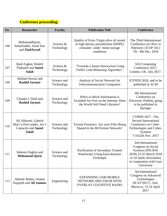#### **Conference proceeding:**

| No. | <b>Researcher</b>                                                                     | <b>Faculty</b>            | <b>Publication Title</b>                                                                                                      | <b>Conference</b>                                                                                                                                         |
|-----|---------------------------------------------------------------------------------------|---------------------------|-------------------------------------------------------------------------------------------------------------------------------|-----------------------------------------------------------------------------------------------------------------------------------------------------------|
| 106 | MohannadQurie,<br>SuhaZiadeh, Amal Sari<br>and ZiadAyyad                              | Science &<br>Technology   | Quality of Extra Virgin olive oil stored<br>in high density polyethylene (HDPE)<br>container under home storage<br>conditions | The Third International<br>Conference on Olive in<br>Palestine (ICOP 3rd)<br>7th - 8th Dec. 2016                                                          |
| 107 | Raid Zaghal, Khalid<br>Thabateh and Saeed<br><b>Salah</b>                             | Science &<br>Technology   | "Towards a Smart Intersection Using<br>Traffic Load Balancing Algorithm",                                                     | <b>SAI</b> Computing<br>Conference 2017,<br>London, UK. July 2017.                                                                                        |
| 108 | Aktham Sawan and<br><b>Rashid Jayousi</b>                                             | Science and<br>Technology | Analysis of Social Network for<br><b>Telecommunication Companies</b>                                                          | ICFNDS 2018, and to be<br>published in ACM                                                                                                                |
| 109 | Claudia J. Dold and<br><b>Rashid Jayousi</b>                                          | Science and<br>Technology | When so Much Information is<br>Available for Free on the Internet, Does<br>the World Still Need Libraries?                    | 4th International<br>Conference on<br>Electronic Publish, going<br>to be published in<br>Springer                                                         |
| 110 | Ali Alhazmi, Gabriel<br>Maci'a-Fern'andez, Jos'e<br>Camacho and Saeed<br><b>Salah</b> | Science and<br>Technology | Torrent Forensics: Are your Files Being<br>Shared in the BitTorrent Network?                                                  | CYBER 2017 : The<br><b>Second International</b><br>Conference on Cyber-<br>Technologies and Cyber-<br><b>Systems</b><br>7-1022th Nov. 2017                |
| 111 | Sabreen Daghra and<br><b>Mohannad Qurie</b>                                           | Science and<br>Technology | Purification of Secondary Treated<br><b>Wastewater Using Epuvalization</b><br>Technique                                       | 2nd International<br>Congress on Social<br>Sciences (INCSOS<br>2018) 23-25 March 2018<br>in Al-Quds (Jerusalem)<br>in cooperation with Gazi<br>University |
| 112 | Ahmed Abdou, Osama<br>Najajreh and Ali Jamoos                                         | Engineering               | <b>EXPANDING GSM MOBILE</b><br>NETWORK SPECTRUM WITH<br>OVERLAY COGNITIVE RADIO                                               | 3rd international<br><b>Congress on Advanced</b><br>Technologies<br>(ICAT'2017), Safi,<br>Morocco, 12-14 April<br>2017                                    |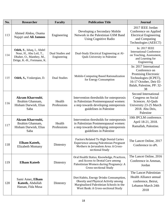| No. | <b>Researcher</b>                                                                                               | <b>Faculty</b>                  | <b>Publication Title</b>                                                                                                                                        | <b>Journal</b>                                                                                                                                         |
|-----|-----------------------------------------------------------------------------------------------------------------|---------------------------------|-----------------------------------------------------------------------------------------------------------------------------------------------------------------|--------------------------------------------------------------------------------------------------------------------------------------------------------|
| 113 | Ahmed Abdou, Osama<br>Najajri and Ali Jamoos                                                                    | Engineering                     | Developing a Secondary Mobile<br>Network in the Palestinian GSM Band<br><b>Using Cognitive Radio</b>                                                            | 2017 IEEE Jordan<br>Conference on Applied<br><b>Electrical Engineering</b><br>and Computing<br>Technologies (AEECT)                                    |
| 114 | Odeh, S., Ishaq, I., Abdel<br>Nour, H., Abu Leil, T.,<br>Dhaher, O., Manthey, M.,<br>Dröge, K.-H., Freimann, K. | Dual Studies and<br>Engineering | Dual-Study Electrical Engineering at Al-<br><b>Quds University in Palestine</b>                                                                                 | In: 2017 IEEE<br><b>International Conference</b><br>on Teaching, Assessment,<br>and Learning for<br>Engineering                                        |
| 115 | Odeh, S., Voskergian, D.                                                                                        | <b>Dual Studies</b>             | Mobile-Computing Based Rationalization<br>for Energy Consumption                                                                                                | In: 2017 International<br>Conference on<br>Promising Electronic<br>Technologies (ICPET),<br>16-17 October, Deir El-<br>Balah, Palestine, PP: 32-<br>38 |
| 116 | Akram Kharroubi,<br>Ibrahim Ghannam,<br>Hisham Darwish, Elias<br>Saba                                           | Health<br>Professions           | Intervention thresholds for osteoporosis<br>in Palestinian Postmenopausal women:<br>a step towards developing osteoporosis<br>guidelines in Palestine           | Second International<br>Congress on Social<br>Sciences. Al-Quds<br>University 23-25 March<br>2018. Abu Deis,<br>Palestine                              |
| 117 | <b>Akram Kharroubi,</b><br>Ibrahim Ghannam,<br>Hisham Darwish, Elias<br>Saba                                    | Health<br>Professions           | Intervention thresholds for osteoporosis<br>in Palestinian Postmenopausal women:<br>a step towards developing osteoporosis<br>guidelines in Palestine           | 10th IPCLM conference.<br>April 18-21, 2018.<br>Ramallah, Palestine.                                                                                   |
| 118 | Elham Kateeb,<br><b>Elizabeth Momany</b>                                                                        | Dintestry                       | <b>Factors Related To High Dental Caries</b><br>Experience among Palestinian Pregnant<br>Mothers in Jerusalem Area: A Cross-<br>sectional Study                 | The Lancet Online, 2017<br>Conference in oPt.                                                                                                          |
| 119 | <b>Elham Kateeb</b>                                                                                             | Dintestry                       | Oral Health Status, Knowledge, Practices,<br>and Access to Dental Care among<br>Palestinian Women during Pregnancy: A<br>Cross-sectional Study                  | The Lancet Online, 2016<br>Conference in Amman,<br>Jordan                                                                                              |
| 120 | Sami Amer, Elham<br>Kateeb, Abdullah<br>Hassan, Fida Musa                                                       | Dintestry                       | Diet Habits, Energy Drinks Consumption,<br>Obesity and Physical Activity among<br>Marginalized Palestinian Schools in the<br>West Bank: A Cross-sectional Study | The Lancet Palestinian<br><b>Health Alliance annual</b><br>conference, Beirut,<br>Lebanon March 24th<br>2018                                           |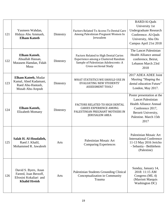| 121 | Yasmeen Wahdan,<br>Hidaya Abu Ammash,<br><b>Elham Kateeb</b>                                    | Dintestry | Factors Related To Access To Dental Care<br>Among Palestinian Pregnant Women In<br>Jerusalem                                                                | <b>BARD/Al-Quds</b><br>University 1st<br><b>Undergraduate Research</b><br>Conference. Al-Quds<br>University, Abu Dis<br>Campus April 21st 2018                       |
|-----|-------------------------------------------------------------------------------------------------|-----------|-------------------------------------------------------------------------------------------------------------------------------------------------------------|----------------------------------------------------------------------------------------------------------------------------------------------------------------------|
| 122 | Elham Kateeb,<br>Abuallah Hassan,<br>Mutasem Hamdan, Fidah<br>Musa                              | Dintestry | <b>Factors Related to High Dental Caries</b><br>Experience among a Clustered Random<br>Sample of Palestinian Adolescents: A<br><b>Cross-sectional Study</b> | The Lancet Palestinian<br><b>Health Alliance annual</b><br>conference, Beirut,<br>Lebanon March 23rd<br>2018                                                         |
| 123 | Elham Kateeb, Mudar<br>Kamal, Ahed Kadamani,<br>Raed Abu-Hantash,<br>Musab Abu-Arqoub           | Dintestry | WHAT STATISTICS WE SHOULD USE IN<br><b>EVALUATING NEW STUDENTS'</b><br><b>ASSESSMENT TOOL?</b>                                                              | 2017 ADEA ADEE Joint<br>Meeting "Shaping the<br>dental education Future"<br>London, May 2017.                                                                        |
| 124 | <b>Elham Kateeb,</b><br>Elizabeth Momany                                                        | Dintestry | FACTORS RELATED TO HIGH DENTAL<br><b>CARIES EXPERIENCE AMONG</b><br>PALESTINIAN PREGNANT MOTHERS IN<br><b>JERUSALEM AREA</b>                                | Poster presentation at the<br><b>Lancet Palestinian</b><br><b>Health Alliance Annual</b><br>Conference 2017,<br>Berzeit University,<br>Palestine. March 15th<br>2017 |
| 125 | Salah H. Al-Houdalieh,<br>Raed J. Khalil,<br>Mohammed R. Jawabreh                               | Arts      | Palestinian Mosaic Art<br><b>Comparing Experiences</b>                                                                                                      | Palestinian Mosaic Art<br><b>International Conference</b><br>11-13 May 2016 Jericho<br>- Sebastia - Bethlehem<br>(Palestine)                                         |
| 126 | David S. Byers, Anan<br>Fareed, Joan Berzoff,<br>Efrosini Kokaliari and<br><b>Khalid Hreish</b> | Arts      | Palestinian Students Grounding Clinical<br>Conceptualization in Community<br>Trauma                                                                         | Sunday, January 14,<br>2018: 11:15 AM<br>Congress (ML 4)<br>(Marriott Marquis<br><b>Washington DC)</b>                                                               |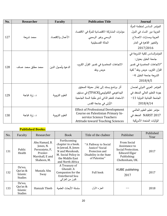| No. | <b>Researcher</b>   | <b>Faculty</b>     | <b>Publication Title</b>                                      | <b>Journal</b>                 |
|-----|---------------------|--------------------|---------------------------------------------------------------|--------------------------------|
|     |                     |                    |                                                               | المؤتمر السادس لمنظمة المرأة   |
|     |                     |                    | مؤشرات المشاركة الاقتصادية للمرأة في الاقتصاد                 | العربية دور النساء في الدول    |
| 127 | محمد شريعة          | الأعمال والاقتصاد  | الرسمي وغير الرسميي                                           | العربية ومسارات الاصلاح        |
|     |                     |                    | الحالة الفمسطينية                                             | والتغيير القاهرة في العام      |
|     |                     |                    |                                                               | 2017/2016                      |
|     |                     |                    |                                                               | المؤتمرالسادس لكلية الشريعة في |
| 128 |                     |                    |                                                               | جامعة الخليل بعنوان:           |
|     | محمد مطلق محمد عساف | الدعوة وأصول الدين | الاتجاهات المعاصرة في تفسير القرآن الكريم،                    | "الاتجاهات المعاصرة في تفسير   |
|     |                     |                    | عرض ونقد                                                      | القرآن الكريم، عرض ونقد" كلية  |
|     |                     |                    |                                                               | الشريعة جامعة الخليل 4-        |
|     |                     |                    |                                                               | 2018/4/5                       |
|     |                     |                    | أثر برنامج يستند إلى إطار معرفة المحتوى                       | المؤتمر العربي الدولي لضمان    |
|     |                     |                    | البيداغوجي التكنولوجي(TPACK) في مستوى                         | جودة التعليم العالي المنعقد في |
| 129 | د. زياد قباجة       | العلوم التربوية    | الاستعداد للتعلم الذاتي لدى طلبة السنة الجامعية               | الجامعة اللبنانية الدولية 11-  |
|     |                     |                    | الأولى في جامعة القدس                                         | 2018/4/14                      |
|     |                     |                    | <b>Effect of Professional Development</b>                     | مؤتمر تعليم العلوم العالمي     |
| 130 | د. زياد قباجة       | العلوم التربوية    | Course on Palestinian Primary In-<br>service Science Teachers | NARST 2017 المنعقد في          |
|     |                     |                    | <b>Attitude toward Teaching Sciences</b>                      | الولايات المتحدة الأمريكية     |

#### **Published Books:**

| No. | Faculty                                           | Researcher                                                                                 | <b>Book</b>                                                                                                                              | Title of the chabter                                                                                  | Publisher                                                                                                   | Published<br>Year |
|-----|---------------------------------------------------|--------------------------------------------------------------------------------------------|------------------------------------------------------------------------------------------------------------------------------------------|-------------------------------------------------------------------------------------------------------|-------------------------------------------------------------------------------------------------------------|-------------------|
| 131 | Public<br>Health                                  | Abu Hamad, B.<br>Jones, N.<br>Pereznieto, P,<br>Presler-<br>Marshall, E and<br>Shaheen, M. | Forthcoming<br>chapter in a book.<br>in Jawad, R, Jones<br>N and Messkoub,<br>M. Social Policy in<br>the Middle East<br>and North Africa | "A Pathway to Social<br>Justice? Social<br>Protection and<br>Disability in the State<br>of Palestine" | <b>From Social</b><br>Assistance to<br>Social Protection.<br>Edward Elgar<br>Publishing:<br>Cheltenham, UK. | 2017              |
| 132 | Da'wa,<br>Qur'an $&$<br>Islamic<br><b>Studies</b> | Mustafa Abu<br>Sway                                                                        | A Treasury of<br>Ghazali: A<br>Companion for the<br><b>Untethered Sou</b><br>كنوز من الغزالي                                             | Full book                                                                                             | <b>KUBE</b> publishing<br>2017                                                                              | 2017              |
| 133 | Da'wa,<br>Qur'an $&$<br>Islamic<br><b>Studies</b> | <b>Hamzah Theeb</b>                                                                        | سلسلة الأبحاث العلمية                                                                                                                    | الجزء الأول                                                                                           |                                                                                                             | 2018              |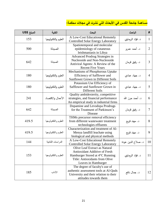# **مساهمة جامعة القدس في األبحاث التي نشرت في مجالت محكمة:**

| المبلغ US\$ | الكلية              | البحث                                                                                                                                                      | الباحث             | #              |
|-------------|---------------------|------------------------------------------------------------------------------------------------------------------------------------------------------------|--------------------|----------------|
| 153         | العلوم والتكنولوجيا | A Low-Cost Educational Remotely<br><b>Controlled Solar Energy Laboratory</b>                                                                               | د. فؤاد الريماوي   | $\mathbf{1}$   |
| 500         | الصيدلة             | Spatiotemporal and molecular<br>epidemiology of cutaneous<br>leishmaniasis in Libya                                                                        | د. أحمد عمرو       | $\overline{2}$ |
| 642         | الصيدلة             | <b>Advanced Prodrug Strategies in</b><br>Nucleoside and Non-Nucleoside<br>Antiviral Agents: A Review of the<br><b>Recent Five Years</b>                    | د. رفيق قرمان      | 3              |
| 180         | العلوم والتكنولوجيا | Mechanisms of Phosphorous Uptake<br>Efficiency of Safflower and<br>Sunflower Grown in Different Soils                                                      | د. جهاد عبادی      | $\overline{4}$ |
| 180         | العلوم والتكنولوجيا | Potassium Use Efficiency of<br>Safflower and Sunflower Grown in<br>Different Soils                                                                         | د. جهاد عبادي      | 5              |
| 241         | الأعمال والاقتصاد   | Quality ambidexterity, competitive<br>strategies, and financial performance<br>An empirical study in industrial firms                                      | د. أحمد حرز الله   | 6              |
| 642         | الصيدلة             | Dopamine and Levodopa Prodrugs<br>for the Treatment of Parkinson's<br>Disease                                                                              | د. رفيق قرمان      | 7              |
| 419.5       | العلوم والتكنولوجيا | THMs precursor removal efficiency<br>from different wastewater treatment<br>technologies effluents                                                         | د. مهند قربع       | 8              |
| 419.5       | العلوم والتكنولوجيا | Characterization and treatment of Al-<br>Menya landfill leachate using<br>biological and physical methods                                                  | د. مهند قریع       | 9              |
| 144         | الدر اسات الثنائية  | A Low-Cost Educational Remotely<br><b>Controlled Solar Energy Laboratory</b>                                                                               | د. صلاح الدين عودة | 10             |
| 153         | العلوم والتكنولوجيا | Olive Leaf Extract as Natural<br>Antioxidant Additive of Fresh<br>Hamburger Stored at 4°C Running<br>Title: Antioxidants from Olive<br>Leaves in Hamburger | د. فؤاد الريماوي   | 11             |
| 185         | الأداب              | The degree of faculty's use of<br>authentic assessment tools at Al-Quds<br>University and their relation to their<br>attitudes towards them                | د. جمال نافع       | 12             |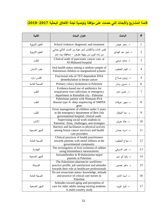## **قائمة المشاريع واألبحاث التي حصلت على موافقة وتوصية لجنة األخالق البحثية :2018-2017**

| الكلية          | عنوان البحث                                                                                                                                 | الباحث             | #              |
|-----------------|---------------------------------------------------------------------------------------------------------------------------------------------|--------------------|----------------|
| العلوم التربوية | School violence: diagnostic and treatment                                                                                                   | د. سعيد عوض        | $\mathbf{1}$   |
|                 | تقدير الذات والاكتئاب لدى عينة من النساء اللاتي يعانني                                                                                      | د. نبيل عبد الهادي | $\overline{2}$ |
| العلوم التربوية | من زادة الوزن من وجهة نظرهن – محافظة بيت لحم                                                                                                |                    |                |
| الطب            | Clinical audit of pancreatic cancer care, at<br>Al-Makased hospital                                                                         | د. محمد مرعی       | 3              |
| طب الأسنان      | Oral health status among a random sample of<br>Palestinian children in marginalized schools                                                 | د. الهام الخطيب    | $\overline{4}$ |
| القدس–بارد      | Functional role of TET-dependent DNA<br>demethylation in breast cancer                                                                      | د. زيدون صلاح      | 5              |
| الصحة العامة    | Primary ciliary dyskinesia in Palestine                                                                                                     | د. نسرين رمان      | 6              |
| الطب            | Evidence-based use of antibiotics for<br>respairatory tract infections in emergency<br>department in Ramallah city - Palestine              | د. عمرو داود       | 7              |
| الطب            | Palestinian patient with Niemann-Pick<br>disease type A: deep sequencing of SMPDI<br>gene                                                   | د. سهير عريقات     | 8              |
| الطب            | Fever management of children under 5 years<br>in the emergency department of Beit-Jala<br>governmental hospital: clinical audit             | د. دينا البيطار    | 9              |
| الآداب          | Supervising social work students in<br>Palestine: Aims, challenges, and strategies                                                          | د. خالد هريش       | 10             |
| المهن الصحية    | Barriers and facilitators to physical activity<br>among breast cancer survivors and health<br>care providers                                | د. اسراء حمدان     | 11             |
| الصحة العامة    | Clinical practices of health practitioners<br>towards patients with metal inllness at the<br>governmental community                         | د. نجاح الخطيب     | 12             |
| الهندسة         | The invistigation of liver ischemia of rabbits<br>using bioimedance measurments                                                             | د. عمر السرخي      | 13             |
| المهن الصحية    | Autoantibodies in B-thalassemia major<br>patients in Palestine                                                                              | د. رانيا أبو سير   | 14             |
| الصيدلة         | The Palestinian pharmacist workforee:<br>practice profile, job satisfaction and attitudes<br>towards their role as healthcare professionals | د. ماهر خضور       | 15             |
| الصحة العامة    | Do not resuscitate status: knowledge, attitude<br>and practice of critical care nurses in<br>Palestine                                      | د. أسما الامام     | 16             |
| المهن الصحية    | Atittudes toward aging and perception of<br>care for older adults among nursing students:<br>A multi-country study                          | د. فرید غریب       | 17             |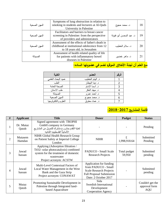| المهن الصحبة | Symptoms of lung obstruction in relation to<br>smoking in students and lecturers at Al-Quds<br>University in Palestine           | د. محمد حجوج            | 18 |
|--------------|----------------------------------------------------------------------------------------------------------------------------------|-------------------------|----|
| المهن الصحبة | Facilitators and barriers to breast cancer<br>screening in Palestine: from the perspective<br>of providers and administrators    | د. عبد المحسن أبو فنونة | 19 |
| المهن الصحبة | Assessment of the effects of father's death in<br>childhood at institutional odolecence from 12<br>to 18 years old, in Jerusalem | د. سلام الخطيب          | 20 |
| الصندلة      | Assessment of health related quality of life<br>for patients with inflammatory bowel<br>diseases in Palestine                    | د. ماهر خضور            | 21 |

# **مع العلم أن لجنة األخالق الموقره تضم في عضويتها الساده:**

| الكلبة              | العضو           | الرقم |
|---------------------|-----------------|-------|
| عميد البحث العلمي   | د. الهام الخطيب |       |
| الطب                | د. دينا البيطار | 2     |
| الصحة العامة        | د. أسما الامام  | 3     |
| طب الاسنان          | د. مهند العکر   | 4     |
| الصيدلة             | د. أحمد عمرو    | 5     |
| المهن الصحية        | د. محمد حجوج    | 6     |
| العلوم والتكنولوجيا | د. عماد معتوق   |       |

# **قائمة المشاريع :2018-2017**

| # | <b>Applicant</b>   | <b>Title</b>                                                                                                                                              | <b>Doner</b>                                                                                                                                | <b>Pudget</b>          | <b>Status</b>                                   |
|---|--------------------|-----------------------------------------------------------------------------------------------------------------------------------------------------------|---------------------------------------------------------------------------------------------------------------------------------------------|------------------------|-------------------------------------------------|
|   | Dr. Mutaz<br>Qutob | Signed agreement with TROPHI<br>GmbH company in Germany<br>لغاية التقدم بمشروع مشترك للتمويل من المشاريع<br>الألمانية الفلسطينيه الثنائيه                 |                                                                                                                                             |                        | Pending                                         |
| 2 | Mutasem<br>Hamdan  | NIHR Global Health Research Group<br>on Patient Safety at Imperial College<br>London                                                                      | <b>NIHR</b>                                                                                                                                 | £<br>1,998,918.64      | Submitted<br>Pending                            |
| 3 | Jawad<br>hassan    | Applying (Adsorption filtration /<br>TiO2- solar photocatalysis) combined<br>system for the treatment of domestic<br>wastewater<br>Project acronym: ACSTW | PADUCO - Small Scale<br><b>Research Projects</b>                                                                                            | Total pudget<br>59,950 | Submitted<br>pending                            |
| 4 | Jawad<br>hassan    | Multi-Level Contextual Factors of<br>Local Water Management in the West<br>Bank and the Gaza Strip<br>Project acronym: CONAWAT                            | Application for funding<br>from PADUCO - Small<br><b>Scale Research Projects</b><br><b>Full Proposal Submission</b><br>Date: 2 October 2017 |                        | Submitted<br>pending                            |
| 5 | Mutaz<br>Qutob     | Promoting Sustainable Development in<br>Palestine through Integrated land-<br>based Aquaculture                                                           | Sida<br>Swedish International<br>Development<br><b>Cooperation Agency</b>                                                                   |                        | Couldn't get the<br>approval form<br><b>AQU</b> |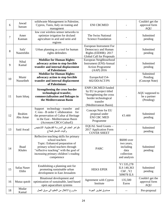| 6  | Jawad<br>hassan       | solidwaste Management in Palestine,<br>Cypros, Tunis, Italy on traning and<br>managment                                                                                                                                         | <b>ENI CBCMED</b>                                                                                                                             |                                                                              | Couldn't get the<br>approval form<br><b>AQU</b> |
|----|-----------------------|---------------------------------------------------------------------------------------------------------------------------------------------------------------------------------------------------------------------------------|-----------------------------------------------------------------------------------------------------------------------------------------------|------------------------------------------------------------------------------|-------------------------------------------------|
| 7  | Amer<br>Kannan        | low cost wireless sensor networks to<br>optimize irrigation for dryland<br>agriculture in arid and semi arid<br>regions                                                                                                         | The Swiss National<br><b>Science Foundation</b>                                                                                               |                                                                              | Submitted<br>pending                            |
| 8  | Safa'<br>Nasereldin   | Urban planning as a tool for human<br>rights defenders                                                                                                                                                                          | European Instrument For<br>Democracy and Human<br>Rights (EIDHR): 2017<br><b>Global Call for Proposals</b>                                    |                                                                              | Submitted<br>pending                            |
| 9  | Nibal<br>Kamal        | <b>Mobilize for Human Rights:</b><br>advocacy action to stop forcible<br>transfer and internal displacement<br>of Palestinians                                                                                                  | European Neighbourhood<br>Instrument (ENI)-Annual<br><b>Action Programme</b><br>$(AAP)$ 2016                                                  |                                                                              | Submitted<br>pending                            |
| 10 | Munir<br>Nusseibeh    | <b>Mobilize for Human Rights:</b><br>advocacy action to stop forcible<br>transfer and internal displacement<br>of Palestinians                                                                                                  | EuropeAid/154-<br>602/DD/ACT/PS                                                                                                               |                                                                              | Submitted<br>Pending<br>(Concept Note)          |
| 11 | Isam Ishaq            | <b>Strengthening the cross border</b><br>technological transfer,<br>commercialisation and linkages in<br>the Mediterranean Basin                                                                                                | <b>ENPI CBCMED funded</b><br>by EU in project titled<br>"Strengthening the cross<br>border technological<br>transfer<br>(Mediterranean Basin) |                                                                              | AQU supposed to<br>be a partner<br>(Pending)    |
| 12 | Ibrahim<br>Abu Amar   | Support technology - transfer<br>and<br>C ross - B order C ollaboration<br>for<br>the preservation of Cultur al Heritage<br>in the East - Mediterranean Basin<br>(Acronym:CBC4 CulturE)                                         | Concept Note for EU<br>proposal under<br><b>ENI CBC MED</b><br>Programme                                                                      | €3.400                                                                       | Submitted<br>pending                            |
| 13 | Said Awad             | ظواهر العنف في المدرسة الفلسطينية: التشخيص<br>وأليات التدخل للعلاج                                                                                                                                                              | EQUAL Seed Grants -<br>2017 Application Form<br><b>COVER SHEET</b>                                                                            |                                                                              | Submitted<br>pending                            |
| 14 | <b>Buad</b><br>Khales | Reflective teaching skills for primary<br>school teachers<br>Topic: Enhanced preparation of<br>primary school teachers through<br>"reflective teaching" with the goal of<br>increasing primary children's reading<br>competence | <b>PARC</b>                                                                                                                                   | \$6000 over<br>two years,<br>including<br>data<br>collection<br>and analysis | Submitted<br>pending                            |
| 15 | Safaa Naser<br>Eldin  | Establishing a planning unit for<br>promoting sustainable urban<br>development in East Jerusalem                                                                                                                                | <b>HEKS EPER</b>                                                                                                                              | Y1 535,278<br>ILS 140,363<br>ChF, Y2<br>509078 ILS                           | Submitted<br>pending                            |
| 16 | Mutaz qutob           | Binational development and<br>optimization of sustainable, land-based<br>open aquaculture systems                                                                                                                               | Agreement with Cyprus<br>Institute                                                                                                            | 135,500<br>Euros                                                             | Couldn't get the<br>approval form<br>AQU        |
| 18 | Mudar<br>Kamal        | مشروع الانتقال من التعليم الى سوق العمل                                                                                                                                                                                         | صندوق تطوير الجودة                                                                                                                            |                                                                              | Pre-proposal                                    |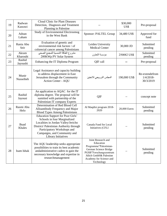| 19 | Radwan<br>Kasrawi     | Cloud Clinic for Plant Diseases<br>Detection, Diagnosis and Treatment<br>Planning in Palestine                                                                                                                                           |                                                                                                                                                                                 | \$30,000<br>US\$ | Pre-proposal                               |
|----|-----------------------|------------------------------------------------------------------------------------------------------------------------------------------------------------------------------------------------------------------------------------------|---------------------------------------------------------------------------------------------------------------------------------------------------------------------------------|------------------|--------------------------------------------|
| 20 | Adnan<br>Laham        | Study of Environmental Electrosmog<br>in the West Bank                                                                                                                                                                                   | Sponsor: PALTEL Group                                                                                                                                                           | 34,480 US\$      | Approved for<br>fund                       |
| 21 | Rania Abu<br>Seir     | Evaluation of genetic and<br>environmental risk factors \ of<br>colorectal cancer among Palestinians                                                                                                                                     | Leiden University<br><b>Medical Center</b>                                                                                                                                      | 30,000 JD        | Submitted<br>pending                       |
| 22 | Akram<br>Kharoubi     | مشروع الطاقة الشمسية للمجمع الصحى<br>200KWp PV Solar System                                                                                                                                                                              | مؤسسة التعاون                                                                                                                                                                   | 250082 US\$      | Submitted<br>pending                       |
| 23 | Rashid<br>Jayoushi    | Enhancing the IT Diploma Program                                                                                                                                                                                                         | QIF call                                                                                                                                                                        |                  | Pre-proposal                               |
| 24 | Munir<br>Nusseibeh    | Legal Assistance and capacity building<br>to address displacement in East<br>Jerusalem through the Community<br>Action Center - AQU                                                                                                      | المجلس النرويجي للاجئين                                                                                                                                                         | 190,000 US\$     | Re-extendefrom<br>$1/4/2018-$<br>30/3/2019 |
| 25 | Rashid<br>Jayousi     | An application to AQAC for the IT<br>diploma degree. The proposal will be<br>sumitted with partnership of the<br>Palestinian IT company Experts                                                                                          | QIF                                                                                                                                                                             |                  | concept note                               |
| 26 | Rasmi Abu<br>Helo     | Determination of Red Blood Cell<br>Alloantibody Frequency and Major<br><b>Blood Types Among Palestinians</b>                                                                                                                             | Al Maqdisi program 2018-<br>2020                                                                                                                                                | 20,000 Euros     | Submitted<br>pending                       |
| 27 | <b>Buad</b><br>Khales | Education Support for Poor Girls'<br>Schools in four Marginalized<br>Localities in Jordan Valley/Jericho<br>District/Palestinian Authority through<br>Participatory Workshops and<br>Campaigns, and Community and<br>Library Initiatives | Canada Fund for Local<br>Initiatives (CFLI                                                                                                                                      |                  | Submitted<br>pending                       |
| 28 | Isam Ishak            | The AQU leadership seeks appropriate<br>possibilities to train its best academic<br>andadministrative cadres to gain the<br>necessary knowledge and expertise in<br>researchmanagement                                                   | Joint Research and<br>Education<br>Programme"Palestinian-<br>German Science Bridge<br>PGSB"Forschungszentrum<br>Jülich GmbH& Palestine<br>Academy for Science and<br>Technology |                  | Submitted<br>pending                       |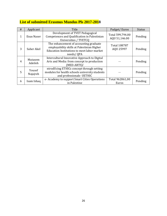#### **List of submitted Erasmus Mundus Pls 2017-2018**

| # | Applicant          | Title                                                                                                                                            | Pudget/Euros                      | <b>Status</b> |
|---|--------------------|--------------------------------------------------------------------------------------------------------------------------------------------------|-----------------------------------|---------------|
| 1 | Enas Naser         | Development of TVET Pedagogical<br>Competences and Qualification in Palestinian<br>Universities / TVETCQ                                         | Total 599,794.00<br>AQU 51,146.00 | Pending       |
| 3 | Saher Akel         | The enhancement of accounting graduate<br>employability skills at Palestinian Higher<br>Education Institutions to meet labor market<br>needs/QPA | <b>Total 108787</b><br>AQU 25997  | Pending       |
| 4 | Mutasem<br>Adeileh | Intercultural Innovative Approach to Digital<br>Arts and Media: from concept to production<br>(MED-ARTS)/                                        |                                   | Pending       |
| 5 | Yousef<br>Najajreh | ntrodUcing ETHICs concept through setting<br>modules for health schools university students<br>and professionals- UETHIC                         |                                   | Pending       |
| 6 | Isam Ishaq         | e- Academy to support Smart Cities Operations<br>in Palestine                                                                                    | Total 962861,00<br>Euros          | Pending       |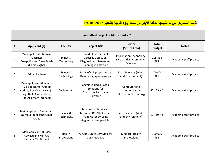**قائمة المشاريع التي تم تقديمها للدفعة األولى من منحة وزارة التربية والتعليم :2018-2017**

|                | <b>Submitted projects - MoH Grant 2018</b>                                                                                              |                        |                                                                                                                     |                                                                              |                        |                        |  |  |  |
|----------------|-----------------------------------------------------------------------------------------------------------------------------------------|------------------------|---------------------------------------------------------------------------------------------------------------------|------------------------------------------------------------------------------|------------------------|------------------------|--|--|--|
| #              | <b>Applicant (s)</b>                                                                                                                    | <b>Faculty</b>         | <b>Project title</b>                                                                                                | <b>Sector</b><br>(Study Area)                                                | <b>Total</b><br>budget | <b>Notes</b>           |  |  |  |
| $\mathbf{1}$   | Main applicant: Radwan<br>Qasrawi<br>Co-applicants: Amer Merie<br>& Raid Zaghal                                                         | Scinec &<br>Technology | <b>Cloud Clinic for Plant</b><br>Diseases Detection,<br>Diagnosis and Treatment<br><b>Planning in Palestine</b>     | Information Technology,<br><b>Earth and Environmental</b><br><b>Sciences</b> | 105,538<br><b>NIS</b>  | Academic staff project |  |  |  |
| $\overline{2}$ | Adnan Lahham                                                                                                                            | Scinec &<br>Technology | Study of soil properties by<br>Gamma ray spectroscopy                                                               | Earth Sciences (Water<br>and Environment)                                    | 100,000<br><b>NIS</b>  | Academic staff project |  |  |  |
| 3              | Main applicant: Ali Jamoos<br>Co-applicants: Ahmed<br>Abdou, Eng. Osama Najajri,<br>Eng. Khalil Assi, and Eng.<br>Abd-Alkareem Ibraheem | Engineering            | <b>Cognitive Radio Based</b><br>Solutions for<br>Spectrum Scarcity in<br>Palestine                                  | Computer and<br>communication<br>information technology                      | 32,189 NIS             | Academic staff project |  |  |  |
| 4              | Main applicant: Mohannad<br>Qurei Co-applicant: Omar<br>Ayyad                                                                           | Scinec &<br>Technology | <b>Removal of Hexavalent</b><br>Chromium (Cr (VI)) Element<br>from Water by Using<br><b>Magnetite Nanoparticles</b> | Earth Sciences (Water<br>and Environment)                                    | 17,419 NIS             | Academic staff project |  |  |  |
| 5              | Main applicant: Hussein<br>ALMasri and Ms. Aya<br>Yaman - BSc Student                                                                   | Health<br>Professions  | Al-Quds University Medical<br>Dosimetry Lab                                                                         | Medical - Health<br>Professions                                              | 100,000<br><b>NIS</b>  | Academic staff project |  |  |  |

 $\mathbf{I}$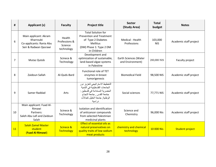| #  | <b>Applicant (s)</b>                                                                    | <b>Faculty</b>                                   | <b>Project title</b>                                                                                                                                                       | <b>Sector</b><br>(Study Area)             | <b>Total</b><br>budget | <b>Notes</b>           |
|----|-----------------------------------------------------------------------------------------|--------------------------------------------------|----------------------------------------------------------------------------------------------------------------------------------------------------------------------------|-------------------------------------------|------------------------|------------------------|
| 6  | Main applicant: Akram<br>Kharroubi<br>Co-applicants: Rania Abu<br>Seir & Radwan Qasrawi | Health<br>Professions &<br>Science<br>technology | <b>Total Solution for</b><br><b>Prevention and Treatment</b><br>of Type 2 Diabetes<br><b>Mellitus</b><br>(DM) Phase 1: Type 2 DM<br>in Children                            | Medical - Health<br>Professions           | 103,000<br><b>NIS</b>  | Academic staff project |
| 7  | Mutaz Qutob                                                                             | Scinece &<br>Technology                          | Development and<br>optimization of sustainable,<br>land-based algae systems<br>in Palestine                                                                                | Earth Sciences (Water<br>and Environment) | 200,000 NIS            | Faculty project        |
| 8  | Zaidoun Sallah                                                                          | Al-Quds-Bard                                     | <b>Functional role of TET</b><br>enzymes in breast<br>tumorigenesis                                                                                                        | <b>Biomedical Field</b>                   | 98,500 NIS             | Academic staff project |
| 9  | Samer Raddad                                                                            | Arts                                             | التخطيط الاستراتيجي لتعزيز دور<br>الجامعات الفلسطينية في التنمية<br>الحضرية المستدامة في فلسطين :<br>جامعة القدس , جامعة النجاح<br>الوطنية, جامعة الخليل كحالات<br>در اسية | Social sciences                           | 77,771 NIS             | Academic staff project |
| 10 | Main applicant: Fuad Al-<br>Rimawi<br>Partners:<br>Saleh Abu Lafi and Zaidoun<br>Salah  | Scinece &<br>Technology                          | Isolation and identification<br>of anticancer compounds<br>from selected Palestinian<br>medicinal plants                                                                   | Science and<br>Chemistry                  | 96,000 Nis             | Academic staff project |
| 11 | <b>Salah Zamel Master</b><br>student<br>(Fuad Al-Rimawi)                                | Scinece &<br><b>Technology</b>                   | <b>Effect of essential oils as</b><br>natural preservatives on<br>quality traits of low sodium<br>meat products                                                            | chemistry and chemical<br>technology      | 10 000 Nis             | <b>Student project</b> |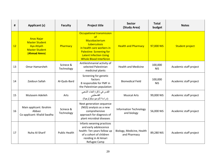| #  | <b>Applicant (s)</b>                                                                                     | <b>Faculty</b>          | <b>Project title</b>                                                                                                                                                                                      | <b>Sector</b><br>(Study Area)                | <b>Total</b><br>budget | <b>Notes</b>           |
|----|----------------------------------------------------------------------------------------------------------|-------------------------|-----------------------------------------------------------------------------------------------------------------------------------------------------------------------------------------------------------|----------------------------------------------|------------------------|------------------------|
| 12 | <b>Anas Najar</b><br><b>Master Student</b><br><b>Aya Atiyeh</b><br><b>Master Student</b><br>(Ahmad Amro) | Pharmacy                | <b>Occupational transmission</b><br>of<br>Mycobacterium<br>tuberculosis<br>in health care workers in<br><b>Palestine: Screening for</b><br><b>Latent Infection Using</b><br><b>Whole Blood Interferon</b> | <b>Health and Pharmacy</b>                   | 97,000 NIS             | <b>Student project</b> |
| 13 | Omar Hamarsheh                                                                                           | Scinece &<br>Technology | Antileishmanial activity of<br>selected Palestinian<br>medicinal plants                                                                                                                                   | <b>Health and Medicine</b>                   | 100,000<br><b>NIS</b>  | Academic staff project |
| 14 | Zaidoun Sallah                                                                                           | Al-Quds-Bard            | Screening for genetic<br>factors<br>8 responsible for FMF in<br>the Palestinian population                                                                                                                | <b>Biomedical Field</b>                      | 100,000<br><b>NIS</b>  | Academic staff project |
| 15 | Mutasem Adeileh                                                                                          | Arts                    | القدس في ذاكرة الغناء الشعبي<br>الفلسطيني<br>(دراسة إثنوميوسيكولوجية)                                                                                                                                     | <b>Musical Arts</b>                          | 99,000 NIS             | Academic staff project |
| 16 | Main applicant: Ibrahim<br>Abbasi<br>Co-applicant: Khalid Swalha                                         | Scinece &<br>Technology | Next generation sequence<br>(NGS) analysis as a new<br>comprehensive<br>approach for diagnosis of<br>plant microbial diseases                                                                             | <b>Information Technology</b><br>and biology | 56,000 NIS             | Academic staff project |
| 17 | Nuha Al-Sharif                                                                                           | <b>Public Health</b>    | Infants weaning practices<br>and early adolescence<br>health: Ten years follow up<br>of a cohort of children<br>residing in Al Amari<br>Refugee Camp                                                      | Biology, Medicine, Health<br>and Pharmacy    | 89,280 NIS             | Academic staff project |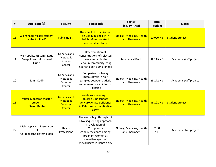| #  | <b>Applicant (s)</b>                                           | <b>Faculty</b>                                                       | <b>Project title</b>                                                                                                                                                                        | <b>Sector</b><br>(Study Area)                    | <b>Total</b><br>budget | <b>Notes</b>           |
|----|----------------------------------------------------------------|----------------------------------------------------------------------|---------------------------------------------------------------------------------------------------------------------------------------------------------------------------------------------|--------------------------------------------------|------------------------|------------------------|
| 18 | <b>Wiam Kadri Master student</b><br>(Nuha Al-Sharif)           | <b>Public Health</b>                                                 | The effect of urbanization<br>on Bedouin's health in<br>Jericho Governorate:A<br>comparative study                                                                                          | <b>Biology, Medicine, Health</b><br>and Pharmacy | 10,000 NIS             | Student project        |
| 19 | Main applicant: Samir Katib<br>Co-applicant: Mohannad<br>Qurie | Genetics and<br>Metabolic<br><b>Diseases</b><br>Center               | Determination of<br>concentrations of selected<br>heavy metals in the<br>Bedouin community living<br>near an open dump landfill                                                             | <b>Biomedical Field</b>                          | 49,299 NIS             | Academic staff project |
| 20 | Samir Katib                                                    | Genetics and<br>Metabolic<br><b>Diseases</b><br>Center               | Comparison of heavy<br>metals levels in hair<br>samples between autistic<br>and non-autistic children in<br>Palestine                                                                       | Biology, Medicine, Health<br>and Pharmacy        | 28,172 NIS             | Academic staff project |
| 21 | <b>Mutaz Manasrah master</b><br>student<br>(Samir Katib)       | <b>Genetics and</b><br><b>Metabolic</b><br><b>Diseases</b><br>Center | <b>Newborn screening for</b><br>glucose-6-phosphate<br>dehydrogenase deficiency<br>in Palestine: a quantitative<br>assay                                                                    | <b>Biology, Medicine, Health</b><br>and Pharmacy | 36,121 NIS             | <b>Student project</b> |
| 22 | Main applicant: Rasmi Abu<br>Helo<br>Co-applicant: Hatem Eideh | Health<br>Professions                                                | The use of high throughput<br>DNA sequencing approach<br>in evaluation of<br>Toxoplasma<br>gondiiprevalence among<br>pregnant women as<br>causative agent of<br>miscarriages in Hebron city | Biology, Medicine, Health<br>and Pharmacy        | 62,000<br><b>NIS</b>   | Academic staff project |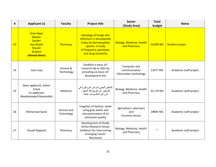| #  | <b>Applicant (s)</b>                                                                                                        | <b>Faculty</b>            | <b>Project title</b>                                                                                                                                                 | <b>Sector</b><br>(Study Area)                           | <b>Total</b><br>budget | <b>Notes</b>           |
|----|-----------------------------------------------------------------------------------------------------------------------------|---------------------------|----------------------------------------------------------------------------------------------------------------------------------------------------------------------|---------------------------------------------------------|------------------------|------------------------|
| 23 | <b>Anas Najar</b><br><b>Master</b><br><b>Studen</b><br><b>Aya Atiyeh</b><br><b>Master</b><br><b>Student</b><br>(Ahmad Amro) | Pharmacy                  | <b>Aetiology of fungal skin</b><br>infections in Jerusalemite<br><b>Arabs by dermatophyte</b><br>species: A study<br>of frequency, genotype,<br>and drug sensitivity | <b>Biology, Medicine, Health</b><br>and Pharmacy        | 10,000 NIS             | <b>Student project</b> |
| 24 | Isam Isaq                                                                                                                   | Scinece &<br>Technology   | Establish a basic IoT<br>research lab at AQU by<br>providing six basic IoT<br>development kits                                                                       | Computer and<br>communication<br>information technology | 13377 NIS              | Academic staff project |
| 25 | Main applicant: Suheir<br>Erikat<br>Co-applicant:<br>Abedelamjeed Nasereddin                                                | Medicine                  | التحليل الجيني لمرض البر وفيريا في<br>فلسطين عن طريق فك الشيفر ه<br>الور اثيه للاكسومات كاملة                                                                        | Biology, Medicine, Health<br>and Pharmacy               | 35,178 NIS             | Academic staff project |
| 26 | <b>Mohannad Qurie</b>                                                                                                       | Science and<br>Technology | Irrigation of Quinoa seeds<br>using grey water and<br>characterization of oil<br>extraction quality                                                                  | Agriculture, veterinary<br>and<br><b>Economy Sector</b> | 28845 NIS              | Academic staff project |
| 27 | Yousef Najajreh                                                                                                             | Pharmacy                  | Development of Dually<br><b>Active Allosteric Kinase</b><br>Inhibitors for Overcoming<br><b>Emerging Cancer</b><br>Resistance                                        | Biology, Medicine, Health<br>and Pharmacy               | $\ast$                 | Academic staff project |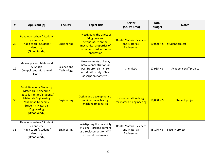| #  | <b>Applicant (s)</b>                                                                                                                                                                                             | <b>Faculty</b>            | <b>Project title</b>                                                                                                                         | <b>Sector</b><br>(Study Area)                                   | <b>Total</b><br>budget | <b>Notes</b>           |
|----|------------------------------------------------------------------------------------------------------------------------------------------------------------------------------------------------------------------|---------------------------|----------------------------------------------------------------------------------------------------------------------------------------------|-----------------------------------------------------------------|------------------------|------------------------|
| 28 | Dana Abu sarhan / Student<br>/ dentistry<br>Thabit sabri / Student /<br>dentistry<br>(Omar Surkhi)                                                                                                               | <b>Engineering</b>        | Investigating the effect of<br>firing time and<br>temperature on the<br>mechanical properties of<br>zirconium used for dental<br>application | <b>Dental Material Sciences</b><br>and Materials<br>Engineering | 10,000 NIS             | <b>Student project</b> |
| 29 | Main applicant: Mahmoud<br>Al-Khatib<br>Co-applicant: Mohannad<br>Qurie                                                                                                                                          | Science and<br>Technology | Measurements of heavy<br>metals concentrations in<br>west Hebron district soil<br>and kinetic study of lead<br>adsorption isotherms          | Chemistry                                                       | 17,935 NIS             | Academic staff project |
| 30 | Sami Atawneh / Student /<br><b>Materials Engineering</b><br>Abdualla Tabtab / Student /<br><b>Materials Engineering</b><br>Muhamad Ghneem /<br><b>Student / Materials</b><br><b>Engineering</b><br>(Omar Surkhi) | <b>Engineering</b>        | Design and development of<br>mini universal testing<br>machine (mini UTM)                                                                    | <b>Instrumentation design</b><br>for materials engineering      | 10,000 NIS             | <b>Student project</b> |
| 31 | Dana Abu sarhan / Student<br>/ dentistry<br>Thabit sabri / Student /<br>dentistry<br>(Omar Surkhi)                                                                                                               | Engineering               | Invistigating the feasibility<br>of using Portland cement<br>as a replacement for MTA<br>in dental treatments                                | <b>Dental Material Sciences</b><br>and Materials<br>Engineering | 35,176 NIS             | Faculty project        |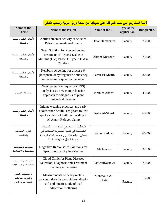|                                                                |                                                                                                                                                                     | <u>ی -نیم -ن</u>      | <u>پ سي</u>                |                    |
|----------------------------------------------------------------|---------------------------------------------------------------------------------------------------------------------------------------------------------------------|-----------------------|----------------------------|--------------------|
| Name of the<br><b>Theme</b>                                    | <b>Name of the Project</b>                                                                                                                                          | Name of the PI        | Type of the<br>application | <b>Budget /ILS</b> |
| الأحياء والطب والصحة<br>والصيدلة                               | Antileishmanial activity of selected<br>Palestinian medicinal plants                                                                                                | <b>Omar Hamarsheh</b> | Faculty                    | 75,000             |
| الأحياء والطب والصحة<br>والصيدلة                               | <b>Total Solution for Prevention and</b><br>Treatment of Type 2 Diabetes<br>Mellitus (DM) Phase 1: Type 2 DM in<br>Children                                         | Akram Kharoubi        | Faculty                    | 75,000             |
| الأحياء والطب والصحة<br>والصيدلة                               | Newborn screening for glucose-6-<br>phosphate dehydrogenase deficiency<br>in Palestine: a quantitative assay                                                        | Samir El Khatib       | Faculty                    | 30,000             |
| الزراعة والبيطرة                                               | Next generation sequence (NGS)<br>analysis as a new comprehensive<br>approach for diagnosis of plant<br>microbial diseases                                          | <b>Ibrahim Abbasi</b> | Faculty                    | 45,000             |
| الأحياء والطب والصحة<br>والصيدلة                               | Infants weaning practices and early<br>adolescence health: Ten years follow<br>up of a cohort of children residing in<br>Al Amari Refugee Camp                      | Nuha Al-Sharif        | Faculty                    | 65,000             |
| العلوم الاجتماعية<br>والاقتصاد                                 | التخطيط الاستراتيجي لتعزيز دور الجامعات<br>الفلسطينية في التنمية الحضرية المستدامة في<br>فلسطين: جامعة القدس , جامعة النجاح الوطنية,<br>جامعة الخلبل كحالات در اسبة | Samer Raddad          | Faculty                    | 60,000             |
| الحاسوب وتكنولوجيا<br>المعلومات والاتصالات                     | Cognitive Radio Based Solutions for<br><b>Spectrum Scarcity in Palestine</b>                                                                                        | Ali Jamoos            | Faculty                    | 32,189             |
| الحاسوب وتكنولوجيا<br>المعلومات والاتصالات                     | <b>Cloud Clinic for Plant Diseases</b><br>Detection, Diagnosis and Treatment<br>Planning in Palestine                                                               | RadwanKasrawi         | Faculty                    | 75,000             |
| الرياضيات والعلوم<br>والفيزياء (فيزياء،<br>كيمياء، مواد، نانو) | Measurements of heavy metals<br>concentrations in west Hebron district<br>soil and kinetic study of lead<br>adsorption isotherms                                    | Mahmoud Al-<br>Khatib | Faculty                    | 15,000             |

## **قائمة المشاريع التي تمت الموافقة على تمويلها من منحة وزارة التربية والتعليم العالي:**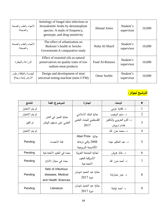| الأحياء والطب والصحة<br>والصبدلة            | Aetiology of fungal skin infections in<br>Jerusalemite Arabs by dermatophyte<br>species: A study of frequency,<br>genotype, and drug sensitivity | Ahmad Amro     | Student's<br>supervisor | 10,000 |
|---------------------------------------------|--------------------------------------------------------------------------------------------------------------------------------------------------|----------------|-------------------------|--------|
| الأحياء والطب والصحة<br>والصيدلة            | The effect of urbanization on<br>Bedouin's health in Jericho<br>Governorate: A comparative study                                                 | Nuha Al-Sharif | Student's<br>supervisor | 10,000 |
| الزراعة والبيطرة                            | Effect of essential oils as natural<br>preservatives on quality traits of low<br>sodium meat products                                            | Fuad Al-Rimawi | Student's<br>supervisor | 10,000 |
| الهندسة والطاقة وعلوم<br>الأرض (مياه وبيئة) | Design and development of mini<br>universal testing machine (mini UTM)                                                                           | Omar Surkhi    | Student's<br>supervisor | 10,000 |



| النتائج         | الموضوع  الفئة                                  | الجائزة                | الباحث                   | #              |
|-----------------|-------------------------------------------------|------------------------|--------------------------|----------------|
| لم يتم الاختيار |                                                 |                        | د. كفاية عزمى            | $\mathbf{1}$   |
| لم يتم الاختيار |                                                 | جائزة البنك الاسلامى   | د. سليم الرجوب           | $\overline{2}$ |
| تم الفوز        | جائزة التميز في النشر<br>العلمي على مستوى الوطن | الفلسطيني للبحث العلمي | د. أكرم الخروبي والدكتور | 3              |
|                 |                                                 | 2017                   | هشام درويش               |                |
| لم يتم الاختيار |                                                 |                        | د. محمد حرز الله         | 4              |
|                 |                                                 | Abel Prize جائزة       |                          |                |
| Pending         | فئة الاحصاء                                     | 2008 والتي ترعاها      | د. عبد الحكيم عيدة       | 5              |
|                 |                                                 | الأكاديمية النرويجية   |                          |                |
| Pending         | بحث في العلوم الاجتماعية                        | لجائزة الجامعة العربية | د. خالد هريش             | 6              |
|                 |                                                 | الأمريكية للعلوم       |                          | $\overline{7}$ |
| Pending         | بحث في مجال الادارة                             | الاجتماعية             | د. أحمد حرز الله         |                |
|                 | field of infectious                             |                        |                          |                |
| Pending         | diseases, Medical                               | جائزة عبد الحميد شومان | د. عمر حمارشة            | 8              |
|                 | and Health Sciences                             | $2017$ دورة            |                          |                |
|                 | Literature                                      | جائزة عبد الحميد شومان |                          | 9              |
| Pending         |                                                 | $2017$ دورة            | د. أحمد ثوابتة           |                |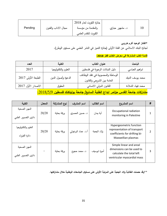|         |                     | جائزة الكويت لعام 2018 |                |    |
|---------|---------------------|------------------------|----------------|----|
| Pending | مجال الاداب والفنون | والمقدمة من مؤسسة      | د. مشهور حبازي | 10 |
|         |                     | الكويت للتقدم العلمى   |                |    |

**\*الفائز الوحيد أكرم خروبي**

لجائزة البنك الاسلامي عن الفئة الأولى (جائزة التميز في النشر العلمي على مستوى الوطن).

**قائمة الكتب المشاركة في معرض الكتاب قطر :2018**

| العدد                                                                                       | الكلية              | عنوان الكتاب                                                      | الباحث            |  |
|---------------------------------------------------------------------------------------------|---------------------|-------------------------------------------------------------------|-------------------|--|
| 2017                                                                                        | العلوم والتكنولوجيا | دليل النباتات الرعوية في فلسطين                                   | ابراهيم العباسي   |  |
| الطبعة الأولى 2017                                                                          | الدعوة وأصول الدين  | الوساطة والمحسوبية في تقلد الوظائف<br>العامة بين الشريعي والقانون | محمد يوسف الديك   |  |
| الاصدار الأول 2017                                                                          | الحقوق              | القانون الدولي الانساني                                           | محمد فهاد الشلادة |  |
| <mark>مشاركات جامعة القدس مؤتمر ابداع الطلبة السابع/ جامعة بوليتكنك فلسطين 2018/5/9:</mark> |                     |                                                                   |                   |  |

| الكلبة                                | المعدل | نوع المشاركة | اسم المشرف         | اسم الطالب   | اسم المشروع                                                                                                     | # |
|---------------------------------------|--------|--------------|--------------------|--------------|-----------------------------------------------------------------------------------------------------------------|---|
| المهن الصحية<br>دائرى التصوير الطبي   | 20/20  | ورقة بحثية   | د. حسين المصري     | آية يمان     | Occupational radiation<br>monitoring in Palestine                                                               |   |
| العلوم والتكنولوجيا<br>دائرة الفيزباء | 20/20  | ورقة بحثية   | أ.د. عماد البرغوثي | ولاء الجعبة  | Hypergeometric function<br>representation of transport<br>coefficients for drifting bi-<br>Maxwellian plasmas   |   |
| المهن الصحية<br>دائرى التصوير الطبي   |        | ورقة بحثية   | د. محمد حجوج       | أميرة ابوسيف | Simple linear and areal<br>dimensions can be used to<br>calculate the total left<br>ventricular myocardial mass | 3 |

**\*\*وقد حصلت الطالبة والء الجعبة على المرتبة األولى على مستوى الجامعات الوطنية خالل مشاركتها.**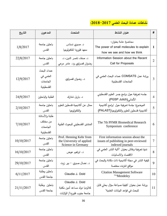# **نشاطات عمادة البحث العلمي :2018-2017**

| التاريخ    | المدعوين                                             | المتحدث                                                                          | عنوان النشاط                                                                                     | #              |
|------------|------------------------------------------------------|----------------------------------------------------------------------------------|--------------------------------------------------------------------------------------------------|----------------|
| 1/8/2017   | باحثين جامعة<br>القدس                                | د. صبري نسناس<br>معهد فلوريدا للتكنولوجيا                                        | محاضرة عامة بعنوان:<br>The power of small molecules to explain<br>how we see and how we think    | $\mathbf{1}$   |
| 22/8/2017  | باحثين جامعة<br>القدس                                | د. صفاء ناصر الدين، د.<br>رضوان قصراوي ود. عامر مرعي                             | Information Session about the Recent<br>Call for Proposals                                       | $\overline{2}$ |
| 12/9/2017  | عمداء البحث<br>العلمي في<br>الجامعات<br>الفلسطينية   | د. رضوان قصراوي                                                                  | ورشة عمل COMSATS عمداء البحث العلمي في<br>الجامعات الفلسطينية                                    | 3              |
| 24/9/2017  | الطلبة والباحثين                                     | د. باريل شتارك                                                                   | جلسه تعريفية حول برامج جسر العلوم الفلسطيني<br>الألماني(PGSP Julich)                             | $\overline{4}$ |
| 2/10/2017  | باحثين جامعة<br>القدس                                | ممثل عن أكاديمية فلسطين للعلوم<br>والتكنولوجيا                                   | الموضوع: جلسة تعريفية حول "برامج أكاديمية<br>أكاديمية فلسطين للعلوم والتكنولوجيا(PALAST)         | 5              |
| 7/10/2017  | طلبة والأساتذة<br>من مختلف<br>الجامعات<br>الفلسطينية | المنتدى الفلسطيني للبحوث الطبية                                                  | The 7th PFMR Biomedical Research<br>Symposium conference                                         | 6              |
| 10/10/2017 | باحثين جامعة<br>القدس                                | Prof. Henning Kehr from<br>the University of applied<br>Science in Germany       | First information session about the<br>issues of publishing in peer-reviewed<br>indexed journals | 7              |
| 16/10/2017 | باحثين جامعة<br>القدس                                | د. ابراهيم عوض                                                                   | ندوةِ تعريفية ونقاش بعنوان "أالية النشر العلمي في<br>الاقتصاد والانسانيات                        | 8              |
| 29/10/2017 | باحثين جامعة<br>القدس                                | د. نضال صبري - بير زيت                                                           | كيفية النشر في مجلة أكاديمية ذات مكانة والبحث في<br>مواقع انترنت مختصة                           | 9              |
| 6/11/2017  | باحثين وطلبة<br>جامعة القدس                          | Claudia J. Dold                                                                  | <b>Citation Management Software</b><br>""Mendeley"                                               | 10             |
| 21/11/2017 | باحثين وطلبة<br>جامعة القدس                          | Claudia J. Dold<br>كلاوديا دولد مساعد أمين مكتبة<br>جامعة جنوب فلوريدا/ الولايات | ورشة عمل بعنوان "كيفية صياغة سؤال بحثى قابل<br>للبحث في قواعد البيانات العلمية"                  | 11             |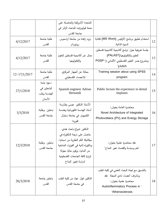|                  |              | المتحدة الأمريكية والحاصلة على      |                                                           |    |
|------------------|--------------|-------------------------------------|-----------------------------------------------------------|----|
|                  |              | منحة فولوبرايت للباحث الزائر في     |                                                           |    |
|                  |              | جامعة القدس                         |                                                           |    |
|                  | طلبة جامعة   | يزيد زاهدة من جامعة اراسموس         | استخدام تطبيق برنامج الأوفيس (MS Word) لكتابة             | 12 |
| 4/12/2017        | القدس        | روتيردام                            | السيرة الذاتية                                            |    |
|                  |              |                                     | جلسة تعريفية حول "برامج أكاديمية أكاديمية فلسطين          |    |
|                  | طلبة جامعة   | ممثل عن أكاديمية فلسطين للعلوم      | للعلوم والتكنولوجيا (PALAST)                              | 13 |
| 4/12/2017        | القدس        | والتكنولوجيا                        | ومشروع جسر العلوم الفلسطيني الألماني (-PGSP               |    |
|                  |              |                                     | "(Julich                                                  |    |
|                  | طلبة جامعة   | ممثلة عن الجهاز المركزى             | Training session about using SPSS                         |    |
| $12 - 17/1/2017$ | القدس        | للاحصاء الفلسطيني                   | program                                                   | 14 |
|                  | دعوة عامة    |                                     |                                                           |    |
|                  | للباحثين في  | Spanish engineer Adrian             | Public lecture the experience in dental                   |    |
| 27/1/2018        | الهندسة وطب  | Hernandi                            | implants                                                  | 15 |
|                  | الأسنان      |                                     |                                                           |    |
|                  |              | الأستاذ الدكتور عيسى بطارسة         |                                                           |    |
|                  | باحثين وطلبة | أستاذ الهندسة الكهربائية وهندسة     | محاضرة العامة بعنوان:<br>Novel Architecture of Integrated | 16 |
| 3/3/2018         | جامعة القدس  | الكمبيوتر في جامعة سنترال           |                                                           |    |
|                  |              | فلوربدا                             | Photovoltaics (PV) and Energy Storage                     |    |
|                  |              | الدكتور شيراغ باحث هندي             |                                                           |    |
|                  |              | حاصل على درجة الدكتوراه في          |                                                           |    |
|                  |              | ميكانيكا الكم النظرية من اسبانيا،   |                                                           |    |
| 12/3/2018        | باحثين وطلبة | ودكتوراه ثانية في الفيزياء المناخية | عقد محاضرة علمية بعنوان:                                  | 17 |
|                  | جامعة القدس  | من ألمانيا، ويقوم حاليا بجولة       | "علم وسياسة واقتصاد تغير المناخ"                          |    |
|                  |              | لزيارة كافة الجامعات الفلسطينية     |                                                           |    |
|                  |              | لدراسة تغيير المناخ                 |                                                           |    |
|                  |              |                                     |                                                           |    |
|                  |              |                                     | بالتنسيق مع لجنة البحث العلمي في كلية الطب                |    |
|                  | باحثين جامعة | الدكتور فواز عواد من كلية الطب      | وباشراف أعضاء نادي المجلة عقد                             |    |
| 26/3/2018        | القدس        | في جامعة القدس                      | محاضرة علمية بعنوان:                                      | 18 |
|                  |              |                                     | Autoinflammatory Process in "                             |    |
|                  |              |                                     | "Atherosclerosis                                          |    |